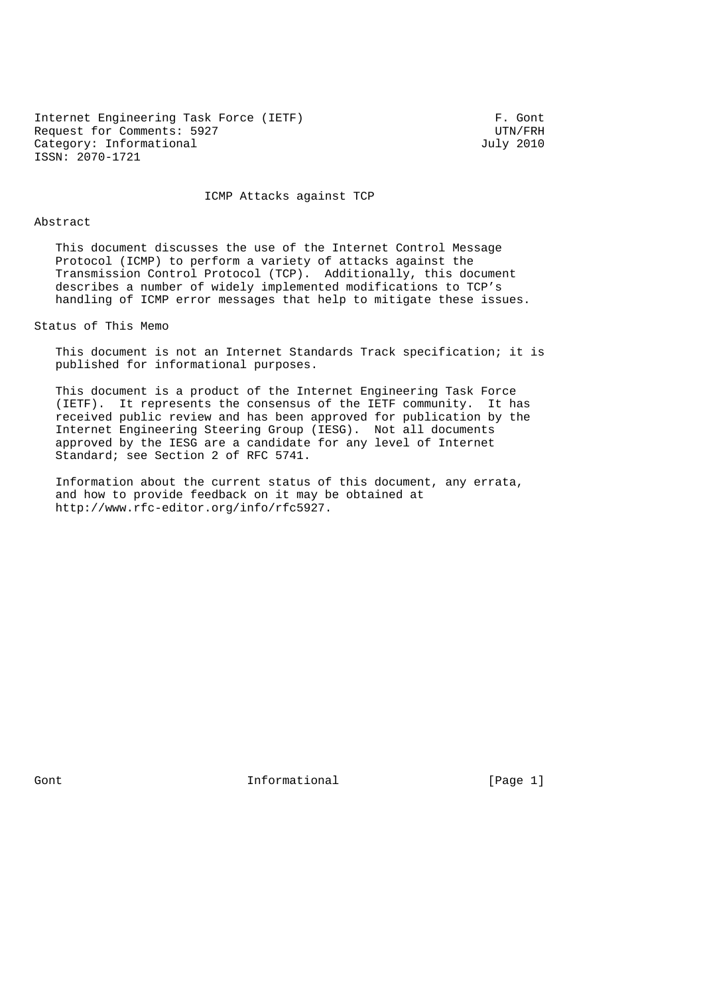Internet Engineering Task Force (IETF) F. Gont<br>Request for Comments: 5927 Request for Comments: 5927 UTN/FRH<br>Category: Informational UTN/FRH Category: UTN/FRH Category: Informational ISSN: 2070-1721

ICMP Attacks against TCP

#### Abstract

 This document discusses the use of the Internet Control Message Protocol (ICMP) to perform a variety of attacks against the Transmission Control Protocol (TCP). Additionally, this document describes a number of widely implemented modifications to TCP's handling of ICMP error messages that help to mitigate these issues.

Status of This Memo

 This document is not an Internet Standards Track specification; it is published for informational purposes.

 This document is a product of the Internet Engineering Task Force (IETF). It represents the consensus of the IETF community. It has received public review and has been approved for publication by the Internet Engineering Steering Group (IESG). Not all documents approved by the IESG are a candidate for any level of Internet Standard; see Section 2 of RFC 5741.

 Information about the current status of this document, any errata, and how to provide feedback on it may be obtained at http://www.rfc-editor.org/info/rfc5927.

Gont **Informational Informational** [Page 1]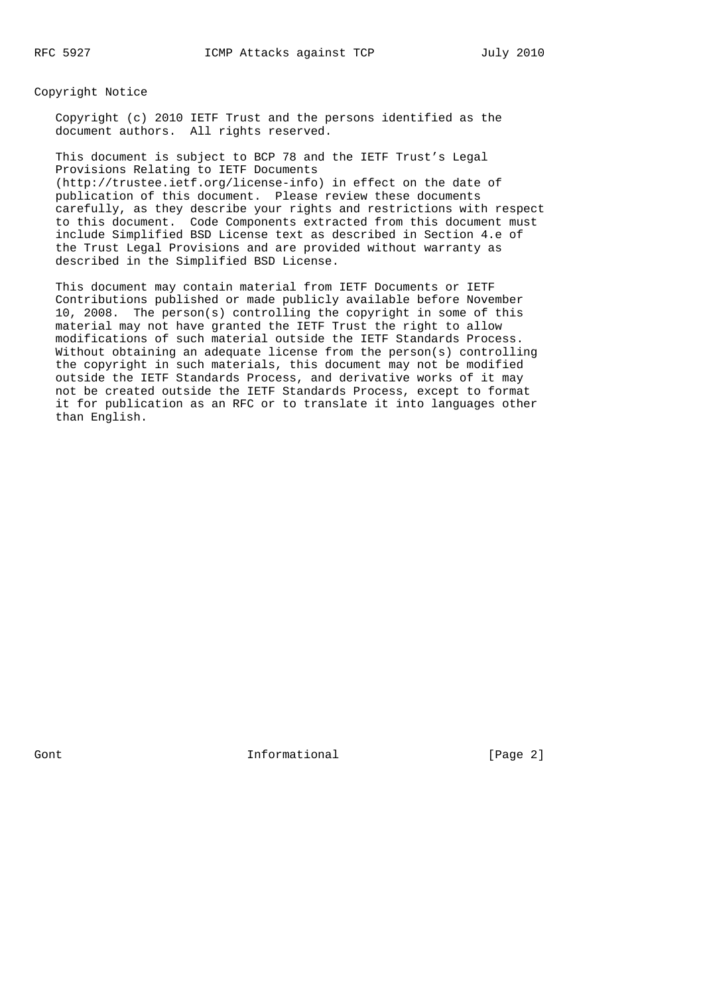Copyright Notice

 Copyright (c) 2010 IETF Trust and the persons identified as the document authors. All rights reserved.

 This document is subject to BCP 78 and the IETF Trust's Legal Provisions Relating to IETF Documents (http://trustee.ietf.org/license-info) in effect on the date of publication of this document. Please review these documents carefully, as they describe your rights and restrictions with respect to this document. Code Components extracted from this document must include Simplified BSD License text as described in Section 4.e of the Trust Legal Provisions and are provided without warranty as described in the Simplified BSD License.

 This document may contain material from IETF Documents or IETF Contributions published or made publicly available before November 10, 2008. The person(s) controlling the copyright in some of this material may not have granted the IETF Trust the right to allow modifications of such material outside the IETF Standards Process. Without obtaining an adequate license from the person(s) controlling the copyright in such materials, this document may not be modified outside the IETF Standards Process, and derivative works of it may not be created outside the IETF Standards Process, except to format it for publication as an RFC or to translate it into languages other than English.

Gont **Informational Informational** [Page 2]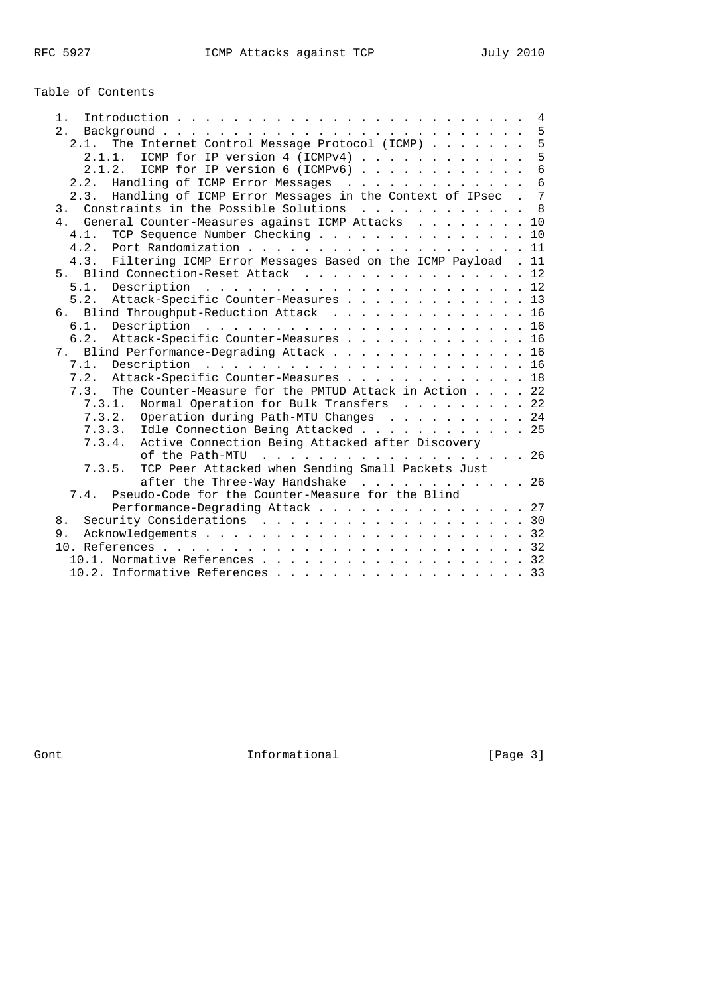# Table of Contents

| 1.                                                                   | 4               |
|----------------------------------------------------------------------|-----------------|
| 2.                                                                   | $5\phantom{.0}$ |
| The Internet Control Message Protocol (ICMP)<br>2.1.                 | 5               |
| ICMP for IP version 4 (ICMPv4)<br>2.1.1.                             | 5               |
| 2.1.2.<br>ICMP for IP version 6 (ICMPv6) $\ldots$                    | $6\overline{6}$ |
| Handling of ICMP Error Messages<br>2.2.                              | $6\overline{6}$ |
| Handling of ICMP Error Messages in the Context of IPsec . 7<br>2.3.  |                 |
| Constraints in the Possible Solutions<br>3 <sub>1</sub>              | $\mathsf{R}$    |
| 4. General Counter-Measures against ICMP Attacks 10                  |                 |
| TCP Sequence Number Checking 10<br>4.1.                              |                 |
| 4.2.<br>Port Randomization 11                                        |                 |
| Filtering ICMP Error Messages Based on the ICMP Payload . 11<br>4.3. |                 |
| 5. Blind Connection-Reset Attack 12                                  |                 |
|                                                                      |                 |
| 5.2. Attack-Specific Counter-Measures 13                             |                 |
| 6. Blind Throughput-Reduction Attack 16                              |                 |
| 6.1.                                                                 |                 |
| Attack-Specific Counter-Measures 16<br>6.2.                          |                 |
| 7. Blind Performance-Degrading Attack 16                             |                 |
| 7.1.                                                                 |                 |
| 7.2.<br>Attack-Specific Counter-Measures 18                          |                 |
| The Counter-Measure for the PMTUD Attack in Action 22<br>7.3.        |                 |
| Normal Operation for Bulk Transfers 22<br>7.3.1.                     |                 |
| 7.3.2. Operation during Path-MTU Changes 24                          |                 |
| 7.3.3. Idle Connection Being Attacked 25                             |                 |
| Active Connection Being Attacked after Discovery<br>7.3.4.           |                 |
| of the Path-MTU 26                                                   |                 |
| TCP Peer Attacked when Sending Small Packets Just<br>7.3.5.          |                 |
| after the Three-Way Handshake 26                                     |                 |
| Pseudo-Code for the Counter-Measure for the Blind<br>7.4.            |                 |
|                                                                      |                 |
| Performance-Degrading Attack 27                                      |                 |
| Security Considerations 30<br>8.                                     |                 |
| 9.                                                                   |                 |
|                                                                      |                 |
| 10.1. Normative References 32                                        |                 |
| 10.2. Informative References 33                                      |                 |

Gont Gont Communism Informational Contractional Executive Contractional Contractional Contractional Contractional Contractional Contractional Contractional Contractional Contractional Contractional Contractional Contractio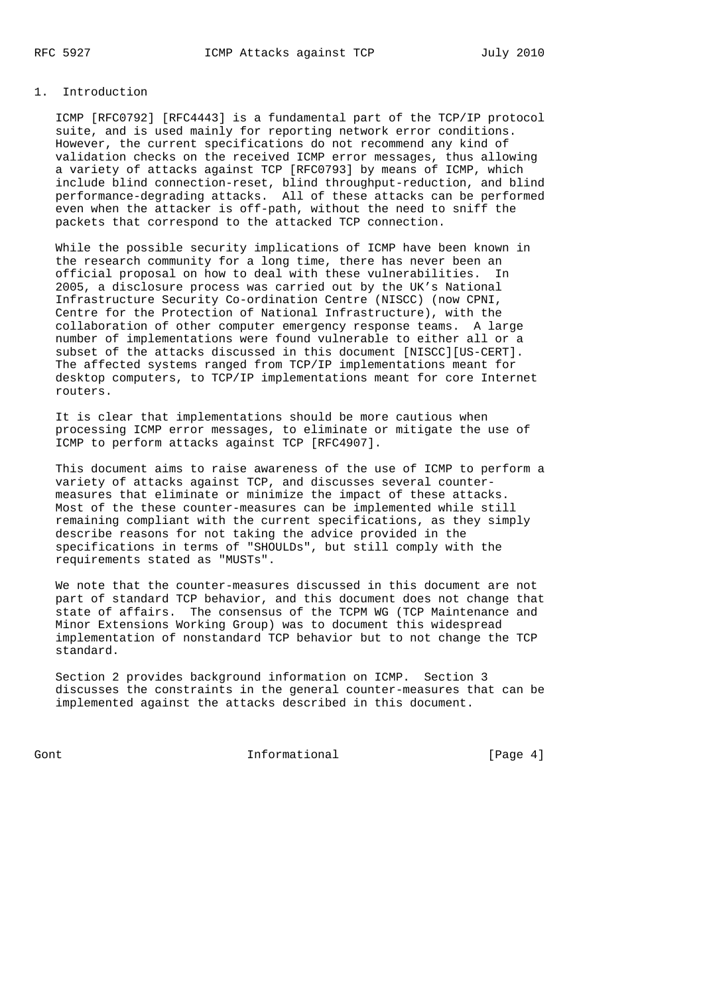#### 1. Introduction

 ICMP [RFC0792] [RFC4443] is a fundamental part of the TCP/IP protocol suite, and is used mainly for reporting network error conditions. However, the current specifications do not recommend any kind of validation checks on the received ICMP error messages, thus allowing a variety of attacks against TCP [RFC0793] by means of ICMP, which include blind connection-reset, blind throughput-reduction, and blind performance-degrading attacks. All of these attacks can be performed even when the attacker is off-path, without the need to sniff the packets that correspond to the attacked TCP connection.

 While the possible security implications of ICMP have been known in the research community for a long time, there has never been an official proposal on how to deal with these vulnerabilities. In 2005, a disclosure process was carried out by the UK's National Infrastructure Security Co-ordination Centre (NISCC) (now CPNI, Centre for the Protection of National Infrastructure), with the collaboration of other computer emergency response teams. A large number of implementations were found vulnerable to either all or a subset of the attacks discussed in this document [NISCC][US-CERT]. The affected systems ranged from TCP/IP implementations meant for desktop computers, to TCP/IP implementations meant for core Internet routers.

 It is clear that implementations should be more cautious when processing ICMP error messages, to eliminate or mitigate the use of ICMP to perform attacks against TCP [RFC4907].

 This document aims to raise awareness of the use of ICMP to perform a variety of attacks against TCP, and discusses several counter measures that eliminate or minimize the impact of these attacks. Most of the these counter-measures can be implemented while still remaining compliant with the current specifications, as they simply describe reasons for not taking the advice provided in the specifications in terms of "SHOULDs", but still comply with the requirements stated as "MUSTs".

 We note that the counter-measures discussed in this document are not part of standard TCP behavior, and this document does not change that state of affairs. The consensus of the TCPM WG (TCP Maintenance and Minor Extensions Working Group) was to document this widespread implementation of nonstandard TCP behavior but to not change the TCP standard.

 Section 2 provides background information on ICMP. Section 3 discusses the constraints in the general counter-measures that can be implemented against the attacks described in this document.

Gont Gont Chambread Informational Contractional (Page 4)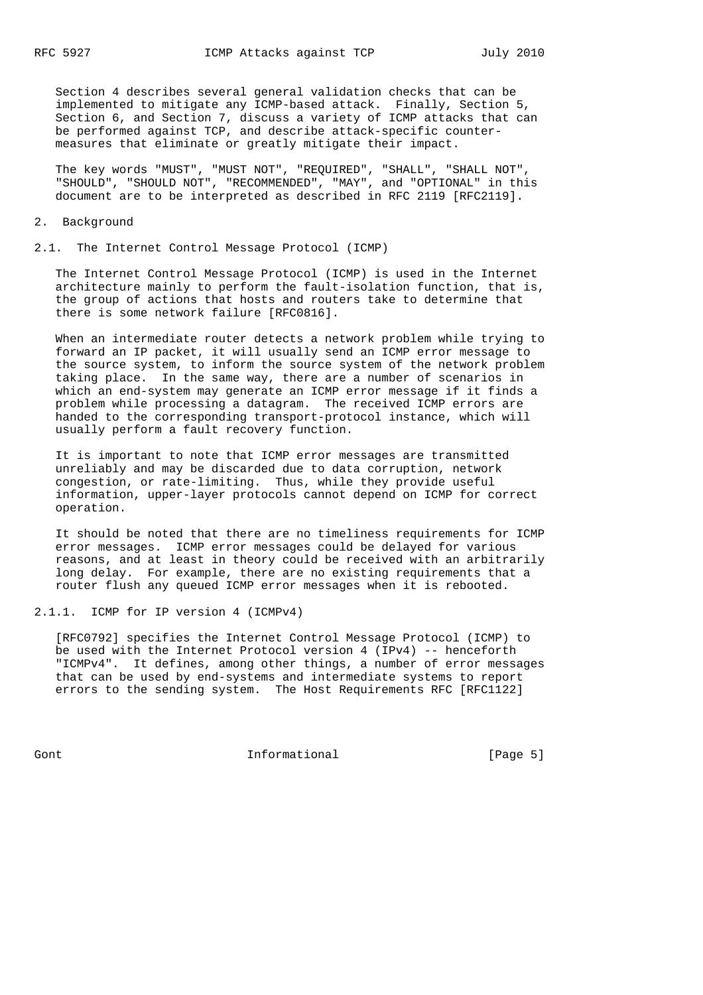Section 4 describes several general validation checks that can be implemented to mitigate any ICMP-based attack. Finally, Section 5, Section 6, and Section 7, discuss a variety of ICMP attacks that can be performed against TCP, and describe attack-specific counter measures that eliminate or greatly mitigate their impact.

 The key words "MUST", "MUST NOT", "REQUIRED", "SHALL", "SHALL NOT", "SHOULD", "SHOULD NOT", "RECOMMENDED", "MAY", and "OPTIONAL" in this document are to be interpreted as described in RFC 2119 [RFC2119].

#### 2. Background

#### 2.1. The Internet Control Message Protocol (ICMP)

 The Internet Control Message Protocol (ICMP) is used in the Internet architecture mainly to perform the fault-isolation function, that is, the group of actions that hosts and routers take to determine that there is some network failure [RFC0816].

 When an intermediate router detects a network problem while trying to forward an IP packet, it will usually send an ICMP error message to the source system, to inform the source system of the network problem taking place. In the same way, there are a number of scenarios in which an end-system may generate an ICMP error message if it finds a problem while processing a datagram. The received ICMP errors are handed to the corresponding transport-protocol instance, which will usually perform a fault recovery function.

 It is important to note that ICMP error messages are transmitted unreliably and may be discarded due to data corruption, network congestion, or rate-limiting. Thus, while they provide useful information, upper-layer protocols cannot depend on ICMP for correct operation.

 It should be noted that there are no timeliness requirements for ICMP error messages. ICMP error messages could be delayed for various reasons, and at least in theory could be received with an arbitrarily long delay. For example, there are no existing requirements that a router flush any queued ICMP error messages when it is rebooted.

#### 2.1.1. ICMP for IP version 4 (ICMPv4)

 [RFC0792] specifies the Internet Control Message Protocol (ICMP) to be used with the Internet Protocol version 4 (IPv4) -- henceforth "ICMPv4". It defines, among other things, a number of error messages that can be used by end-systems and intermediate systems to report errors to the sending system. The Host Requirements RFC [RFC1122]

Gont Gont Communism informational Communism (Page 5)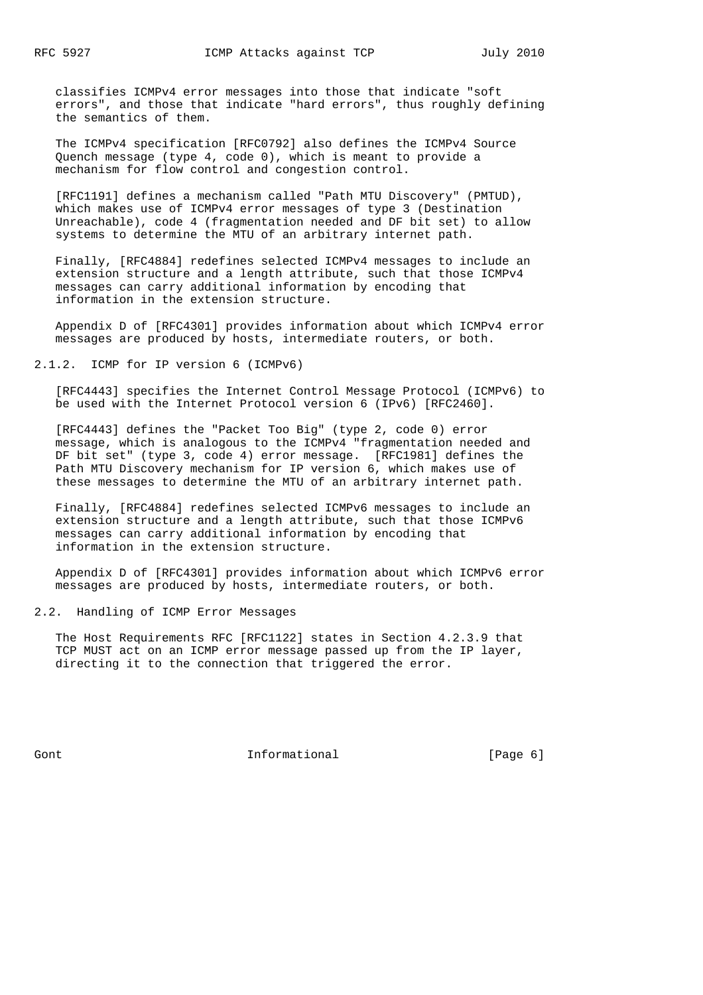classifies ICMPv4 error messages into those that indicate "soft errors", and those that indicate "hard errors", thus roughly defining the semantics of them.

 The ICMPv4 specification [RFC0792] also defines the ICMPv4 Source Quench message (type 4, code 0), which is meant to provide a mechanism for flow control and congestion control.

 [RFC1191] defines a mechanism called "Path MTU Discovery" (PMTUD), which makes use of ICMPv4 error messages of type 3 (Destination Unreachable), code 4 (fragmentation needed and DF bit set) to allow systems to determine the MTU of an arbitrary internet path.

 Finally, [RFC4884] redefines selected ICMPv4 messages to include an extension structure and a length attribute, such that those ICMPv4 messages can carry additional information by encoding that information in the extension structure.

 Appendix D of [RFC4301] provides information about which ICMPv4 error messages are produced by hosts, intermediate routers, or both.

2.1.2. ICMP for IP version 6 (ICMPv6)

 [RFC4443] specifies the Internet Control Message Protocol (ICMPv6) to be used with the Internet Protocol version 6 (IPv6) [RFC2460].

 [RFC4443] defines the "Packet Too Big" (type 2, code 0) error message, which is analogous to the ICMPv4 "fragmentation needed and DF bit set" (type 3, code 4) error message. [RFC1981] defines the Path MTU Discovery mechanism for IP version 6, which makes use of these messages to determine the MTU of an arbitrary internet path.

 Finally, [RFC4884] redefines selected ICMPv6 messages to include an extension structure and a length attribute, such that those ICMPv6 messages can carry additional information by encoding that information in the extension structure.

 Appendix D of [RFC4301] provides information about which ICMPv6 error messages are produced by hosts, intermediate routers, or both.

### 2.2. Handling of ICMP Error Messages

 The Host Requirements RFC [RFC1122] states in Section 4.2.3.9 that TCP MUST act on an ICMP error message passed up from the IP layer, directing it to the connection that triggered the error.

Gont Gont Communism informational Communism (Page 6)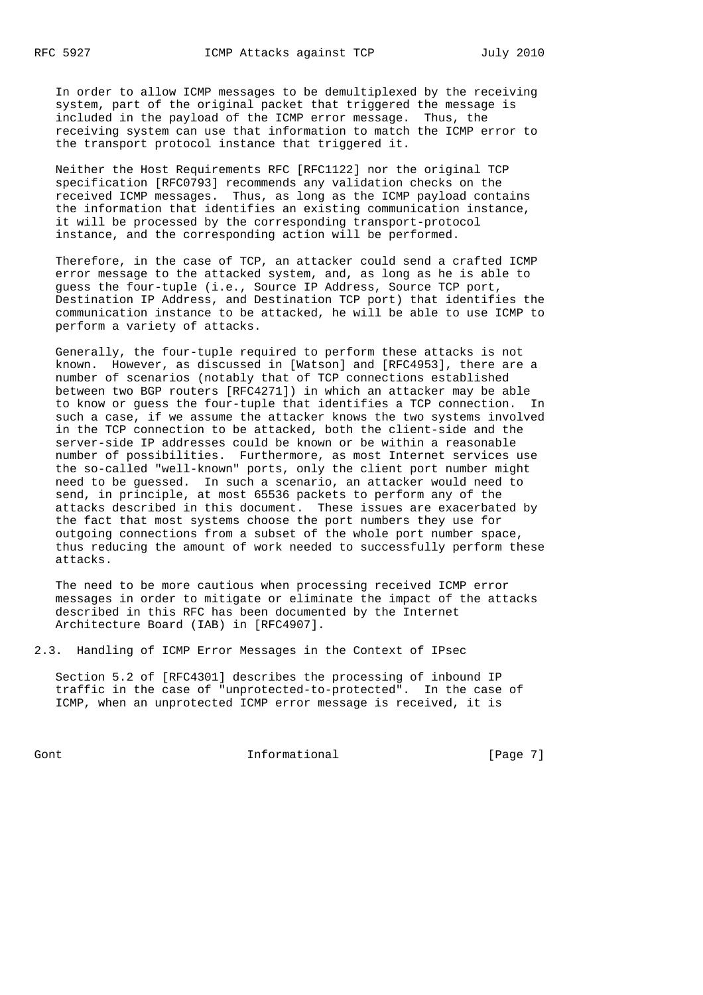In order to allow ICMP messages to be demultiplexed by the receiving system, part of the original packet that triggered the message is included in the payload of the ICMP error message. Thus, the receiving system can use that information to match the ICMP error to the transport protocol instance that triggered it.

 Neither the Host Requirements RFC [RFC1122] nor the original TCP specification [RFC0793] recommends any validation checks on the received ICMP messages. Thus, as long as the ICMP payload contains the information that identifies an existing communication instance, it will be processed by the corresponding transport-protocol instance, and the corresponding action will be performed.

 Therefore, in the case of TCP, an attacker could send a crafted ICMP error message to the attacked system, and, as long as he is able to guess the four-tuple (i.e., Source IP Address, Source TCP port, Destination IP Address, and Destination TCP port) that identifies the communication instance to be attacked, he will be able to use ICMP to perform a variety of attacks.

 Generally, the four-tuple required to perform these attacks is not known. However, as discussed in [Watson] and [RFC4953], there are a number of scenarios (notably that of TCP connections established between two BGP routers [RFC4271]) in which an attacker may be able to know or guess the four-tuple that identifies a TCP connection. In such a case, if we assume the attacker knows the two systems involved in the TCP connection to be attacked, both the client-side and the server-side IP addresses could be known or be within a reasonable number of possibilities. Furthermore, as most Internet services use the so-called "well-known" ports, only the client port number might need to be guessed. In such a scenario, an attacker would need to send, in principle, at most 65536 packets to perform any of the attacks described in this document. These issues are exacerbated by the fact that most systems choose the port numbers they use for outgoing connections from a subset of the whole port number space, thus reducing the amount of work needed to successfully perform these attacks.

 The need to be more cautious when processing received ICMP error messages in order to mitigate or eliminate the impact of the attacks described in this RFC has been documented by the Internet Architecture Board (IAB) in [RFC4907].

2.3. Handling of ICMP Error Messages in the Context of IPsec

 Section 5.2 of [RFC4301] describes the processing of inbound IP traffic in the case of "unprotected-to-protected". In the case of ICMP, when an unprotected ICMP error message is received, it is

Gont Gont Communism informational Communism [Page 7]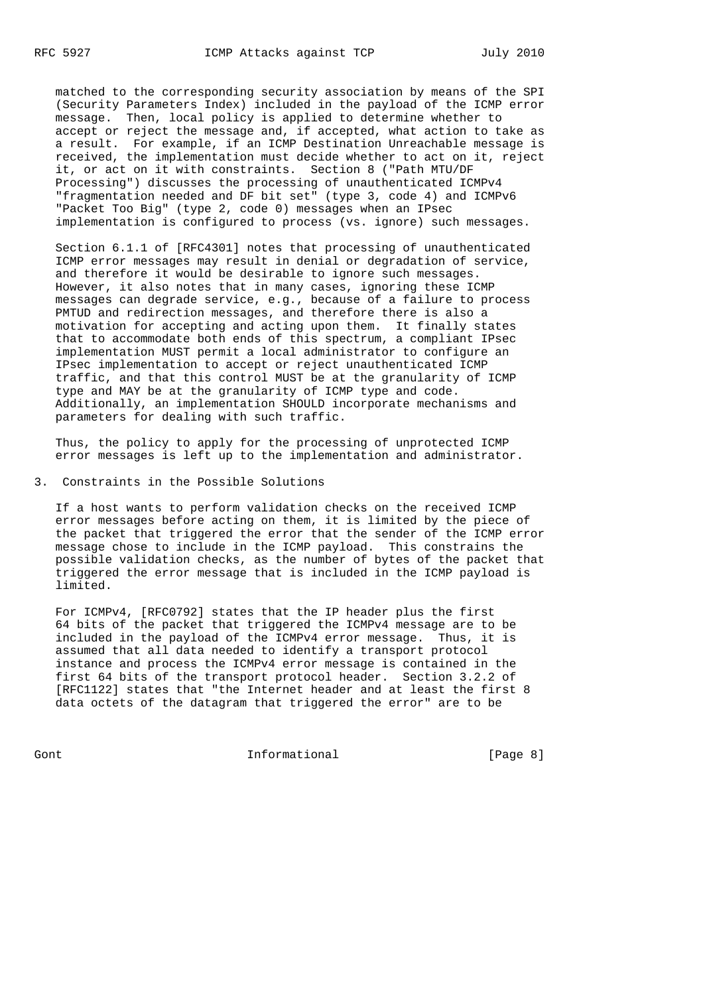matched to the corresponding security association by means of the SPI (Security Parameters Index) included in the payload of the ICMP error message. Then, local policy is applied to determine whether to accept or reject the message and, if accepted, what action to take as a result. For example, if an ICMP Destination Unreachable message is received, the implementation must decide whether to act on it, reject it, or act on it with constraints. Section 8 ("Path MTU/DF Processing") discusses the processing of unauthenticated ICMPv4 "fragmentation needed and DF bit set" (type 3, code 4) and ICMPv6 "Packet Too Big" (type 2, code 0) messages when an IPsec implementation is configured to process (vs. ignore) such messages.

 Section 6.1.1 of [RFC4301] notes that processing of unauthenticated ICMP error messages may result in denial or degradation of service, and therefore it would be desirable to ignore such messages. However, it also notes that in many cases, ignoring these ICMP messages can degrade service, e.g., because of a failure to process PMTUD and redirection messages, and therefore there is also a motivation for accepting and acting upon them. It finally states that to accommodate both ends of this spectrum, a compliant IPsec implementation MUST permit a local administrator to configure an IPsec implementation to accept or reject unauthenticated ICMP traffic, and that this control MUST be at the granularity of ICMP type and MAY be at the granularity of ICMP type and code. Additionally, an implementation SHOULD incorporate mechanisms and parameters for dealing with such traffic.

 Thus, the policy to apply for the processing of unprotected ICMP error messages is left up to the implementation and administrator.

3. Constraints in the Possible Solutions

 If a host wants to perform validation checks on the received ICMP error messages before acting on them, it is limited by the piece of the packet that triggered the error that the sender of the ICMP error message chose to include in the ICMP payload. This constrains the possible validation checks, as the number of bytes of the packet that triggered the error message that is included in the ICMP payload is limited.

 For ICMPv4, [RFC0792] states that the IP header plus the first 64 bits of the packet that triggered the ICMPv4 message are to be included in the payload of the ICMPv4 error message. Thus, it is assumed that all data needed to identify a transport protocol instance and process the ICMPv4 error message is contained in the first 64 bits of the transport protocol header. Section 3.2.2 of [RFC1122] states that "the Internet header and at least the first 8 data octets of the datagram that triggered the error" are to be

Gont Gont Communism informational Communism (Page 8)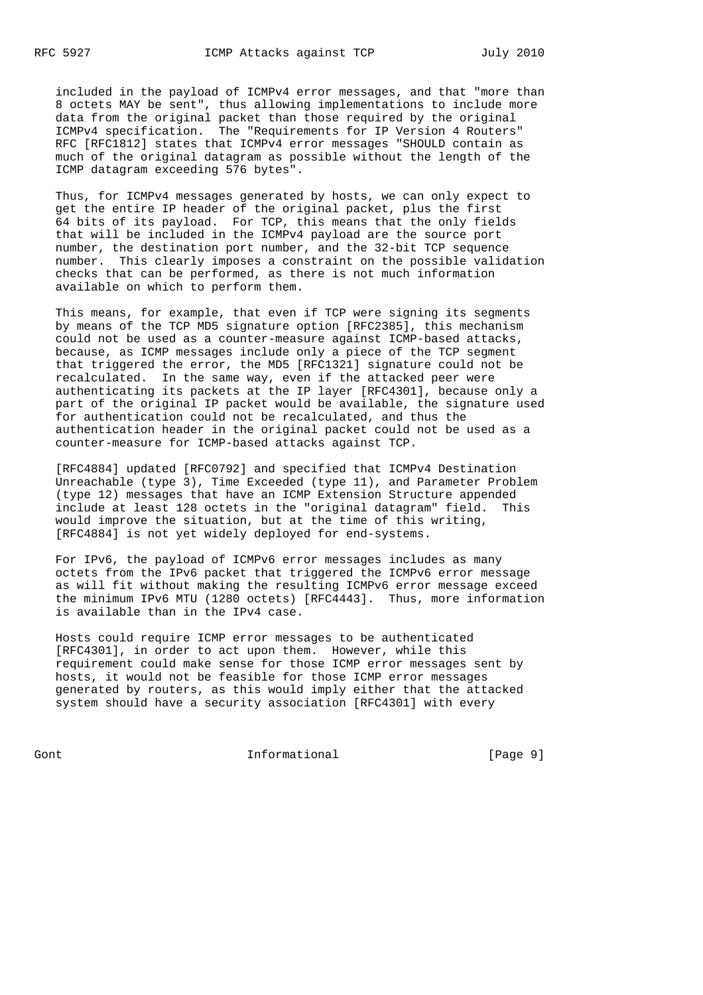included in the payload of ICMPv4 error messages, and that "more than 8 octets MAY be sent", thus allowing implementations to include more data from the original packet than those required by the original ICMPv4 specification. The "Requirements for IP Version 4 Routers" RFC [RFC1812] states that ICMPv4 error messages "SHOULD contain as much of the original datagram as possible without the length of the ICMP datagram exceeding 576 bytes".

 Thus, for ICMPv4 messages generated by hosts, we can only expect to get the entire IP header of the original packet, plus the first 64 bits of its payload. For TCP, this means that the only fields that will be included in the ICMPv4 payload are the source port number, the destination port number, and the 32-bit TCP sequence number. This clearly imposes a constraint on the possible validation checks that can be performed, as there is not much information available on which to perform them.

 This means, for example, that even if TCP were signing its segments by means of the TCP MD5 signature option [RFC2385], this mechanism could not be used as a counter-measure against ICMP-based attacks, because, as ICMP messages include only a piece of the TCP segment that triggered the error, the MD5 [RFC1321] signature could not be recalculated. In the same way, even if the attacked peer were authenticating its packets at the IP layer [RFC4301], because only a part of the original IP packet would be available, the signature used for authentication could not be recalculated, and thus the authentication header in the original packet could not be used as a counter-measure for ICMP-based attacks against TCP.

 [RFC4884] updated [RFC0792] and specified that ICMPv4 Destination Unreachable (type 3), Time Exceeded (type 11), and Parameter Problem (type 12) messages that have an ICMP Extension Structure appended include at least 128 octets in the "original datagram" field. This would improve the situation, but at the time of this writing, [RFC4884] is not yet widely deployed for end-systems.

 For IPv6, the payload of ICMPv6 error messages includes as many octets from the IPv6 packet that triggered the ICMPv6 error message as will fit without making the resulting ICMPv6 error message exceed the minimum IPv6 MTU (1280 octets) [RFC4443]. Thus, more information is available than in the IPv4 case.

 Hosts could require ICMP error messages to be authenticated [RFC4301], in order to act upon them. However, while this requirement could make sense for those ICMP error messages sent by hosts, it would not be feasible for those ICMP error messages generated by routers, as this would imply either that the attacked system should have a security association [RFC4301] with every

Gont Gont Communism informational Communism [Page 9]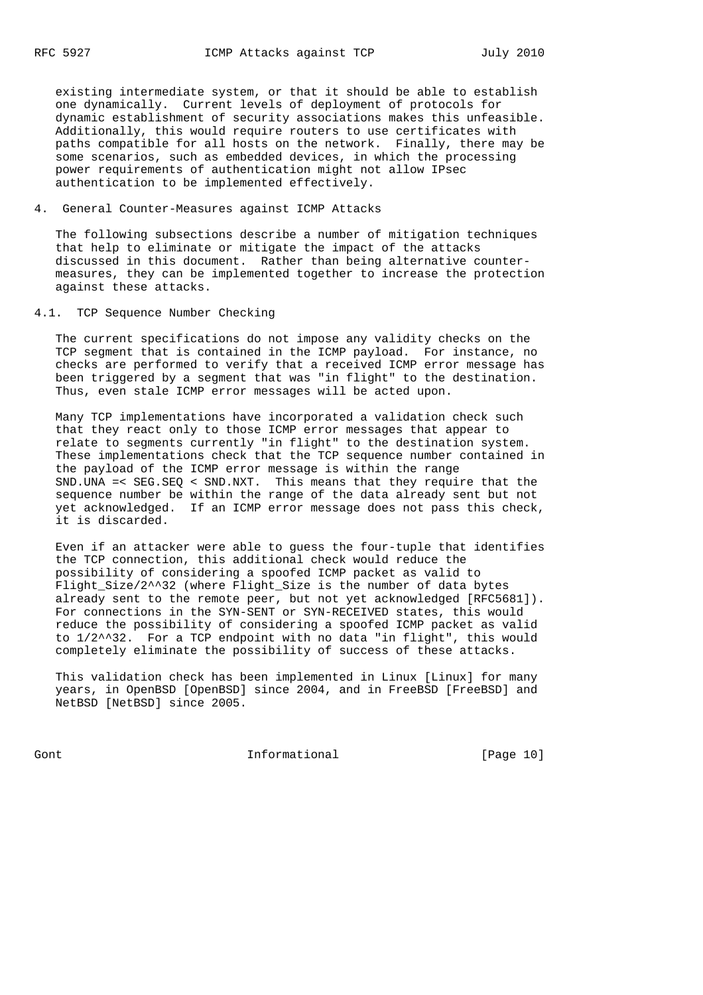existing intermediate system, or that it should be able to establish one dynamically. Current levels of deployment of protocols for dynamic establishment of security associations makes this unfeasible. Additionally, this would require routers to use certificates with paths compatible for all hosts on the network. Finally, there may be some scenarios, such as embedded devices, in which the processing power requirements of authentication might not allow IPsec authentication to be implemented effectively.

## 4. General Counter-Measures against ICMP Attacks

 The following subsections describe a number of mitigation techniques that help to eliminate or mitigate the impact of the attacks discussed in this document. Rather than being alternative counter measures, they can be implemented together to increase the protection against these attacks.

## 4.1. TCP Sequence Number Checking

 The current specifications do not impose any validity checks on the TCP segment that is contained in the ICMP payload. For instance, no checks are performed to verify that a received ICMP error message has been triggered by a segment that was "in flight" to the destination. Thus, even stale ICMP error messages will be acted upon.

 Many TCP implementations have incorporated a validation check such that they react only to those ICMP error messages that appear to relate to segments currently "in flight" to the destination system. These implementations check that the TCP sequence number contained in the payload of the ICMP error message is within the range SND.UNA =< SEG.SEQ < SND.NXT. This means that they require that the sequence number be within the range of the data already sent but not yet acknowledged. If an ICMP error message does not pass this check, it is discarded.

 Even if an attacker were able to guess the four-tuple that identifies the TCP connection, this additional check would reduce the possibility of considering a spoofed ICMP packet as valid to Flight\_Size/2^^32 (where Flight\_Size is the number of data bytes already sent to the remote peer, but not yet acknowledged [RFC5681]). For connections in the SYN-SENT or SYN-RECEIVED states, this would reduce the possibility of considering a spoofed ICMP packet as valid to 1/2^^32. For a TCP endpoint with no data "in flight", this would completely eliminate the possibility of success of these attacks.

 This validation check has been implemented in Linux [Linux] for many years, in OpenBSD [OpenBSD] since 2004, and in FreeBSD [FreeBSD] and NetBSD [NetBSD] since 2005.

Gont Gont 10 Informational [Page 10]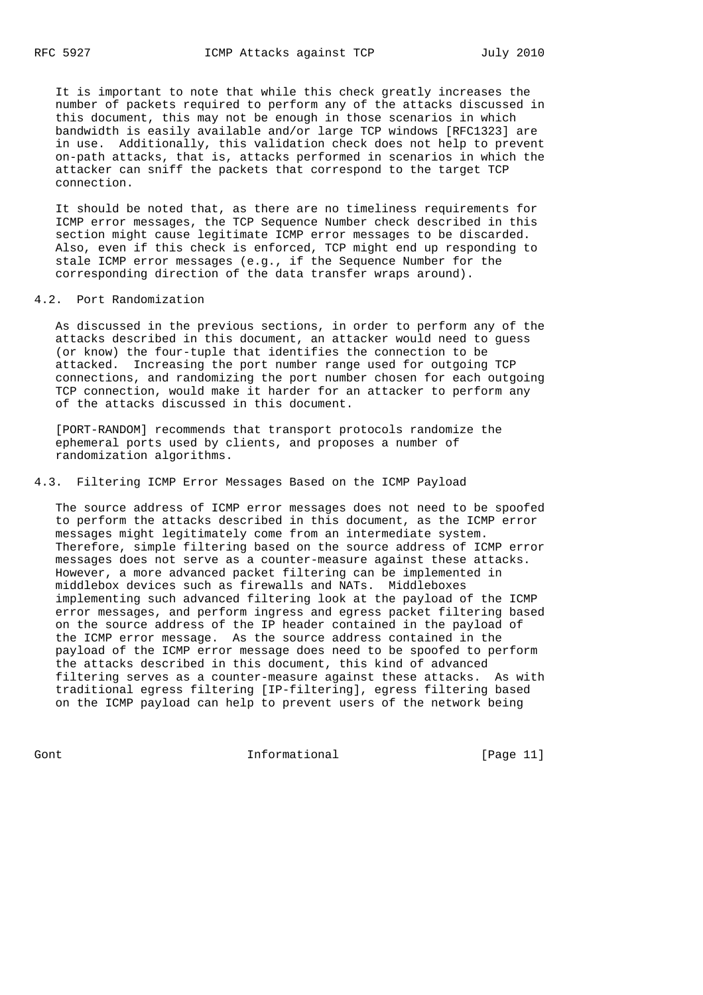It is important to note that while this check greatly increases the number of packets required to perform any of the attacks discussed in this document, this may not be enough in those scenarios in which bandwidth is easily available and/or large TCP windows [RFC1323] are in use. Additionally, this validation check does not help to prevent on-path attacks, that is, attacks performed in scenarios in which the attacker can sniff the packets that correspond to the target TCP connection.

 It should be noted that, as there are no timeliness requirements for ICMP error messages, the TCP Sequence Number check described in this section might cause legitimate ICMP error messages to be discarded. Also, even if this check is enforced, TCP might end up responding to stale ICMP error messages (e.g., if the Sequence Number for the corresponding direction of the data transfer wraps around).

#### 4.2. Port Randomization

 As discussed in the previous sections, in order to perform any of the attacks described in this document, an attacker would need to guess (or know) the four-tuple that identifies the connection to be attacked. Increasing the port number range used for outgoing TCP connections, and randomizing the port number chosen for each outgoing TCP connection, would make it harder for an attacker to perform any of the attacks discussed in this document.

 [PORT-RANDOM] recommends that transport protocols randomize the ephemeral ports used by clients, and proposes a number of randomization algorithms.

### 4.3. Filtering ICMP Error Messages Based on the ICMP Payload

 The source address of ICMP error messages does not need to be spoofed to perform the attacks described in this document, as the ICMP error messages might legitimately come from an intermediate system. Therefore, simple filtering based on the source address of ICMP error messages does not serve as a counter-measure against these attacks. However, a more advanced packet filtering can be implemented in middlebox devices such as firewalls and NATs. Middleboxes implementing such advanced filtering look at the payload of the ICMP error messages, and perform ingress and egress packet filtering based on the source address of the IP header contained in the payload of the ICMP error message. As the source address contained in the payload of the ICMP error message does need to be spoofed to perform the attacks described in this document, this kind of advanced filtering serves as a counter-measure against these attacks. As with traditional egress filtering [IP-filtering], egress filtering based on the ICMP payload can help to prevent users of the network being

Gont Gont Communism informational Communism [Page 11]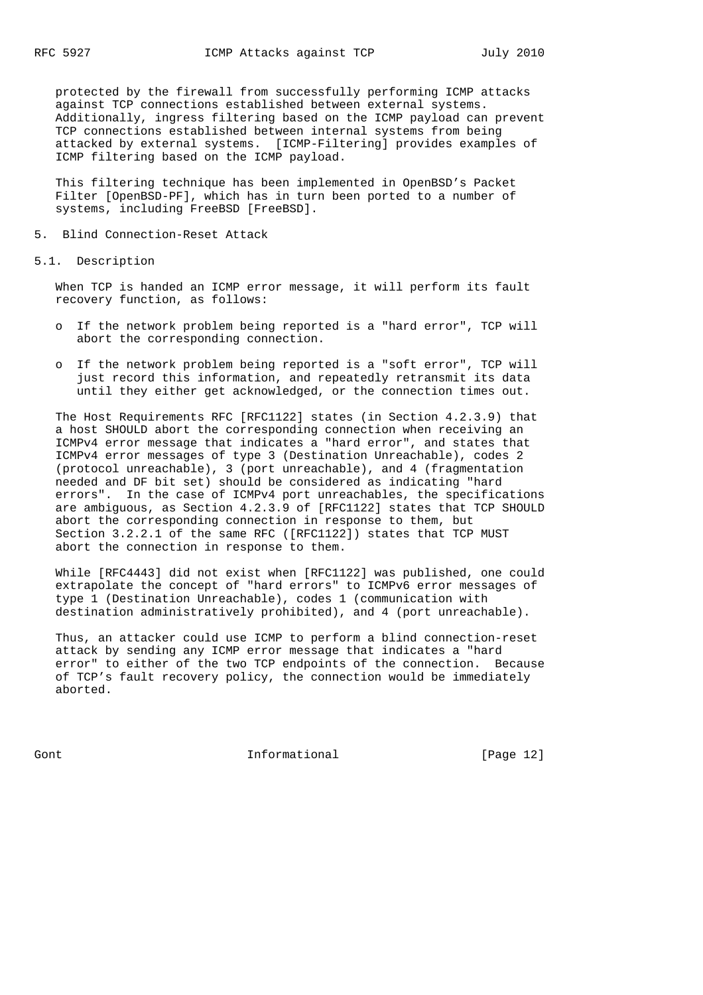protected by the firewall from successfully performing ICMP attacks against TCP connections established between external systems. Additionally, ingress filtering based on the ICMP payload can prevent TCP connections established between internal systems from being attacked by external systems. [ICMP-Filtering] provides examples of ICMP filtering based on the ICMP payload.

 This filtering technique has been implemented in OpenBSD's Packet Filter [OpenBSD-PF], which has in turn been ported to a number of systems, including FreeBSD [FreeBSD].

#### 5. Blind Connection-Reset Attack

5.1. Description

 When TCP is handed an ICMP error message, it will perform its fault recovery function, as follows:

- o If the network problem being reported is a "hard error", TCP will abort the corresponding connection.
- o If the network problem being reported is a "soft error", TCP will just record this information, and repeatedly retransmit its data until they either get acknowledged, or the connection times out.

 The Host Requirements RFC [RFC1122] states (in Section 4.2.3.9) that a host SHOULD abort the corresponding connection when receiving an ICMPv4 error message that indicates a "hard error", and states that ICMPv4 error messages of type 3 (Destination Unreachable), codes 2 (protocol unreachable), 3 (port unreachable), and 4 (fragmentation needed and DF bit set) should be considered as indicating "hard errors". In the case of ICMPv4 port unreachables, the specifications are ambiguous, as Section 4.2.3.9 of [RFC1122] states that TCP SHOULD abort the corresponding connection in response to them, but Section 3.2.2.1 of the same RFC ([RFC1122]) states that TCP MUST abort the connection in response to them.

 While [RFC4443] did not exist when [RFC1122] was published, one could extrapolate the concept of "hard errors" to ICMPv6 error messages of type 1 (Destination Unreachable), codes 1 (communication with destination administratively prohibited), and 4 (port unreachable).

 Thus, an attacker could use ICMP to perform a blind connection-reset attack by sending any ICMP error message that indicates a "hard error" to either of the two TCP endpoints of the connection. Because of TCP's fault recovery policy, the connection would be immediately aborted.

Gont **Informational Informational** [Page 12]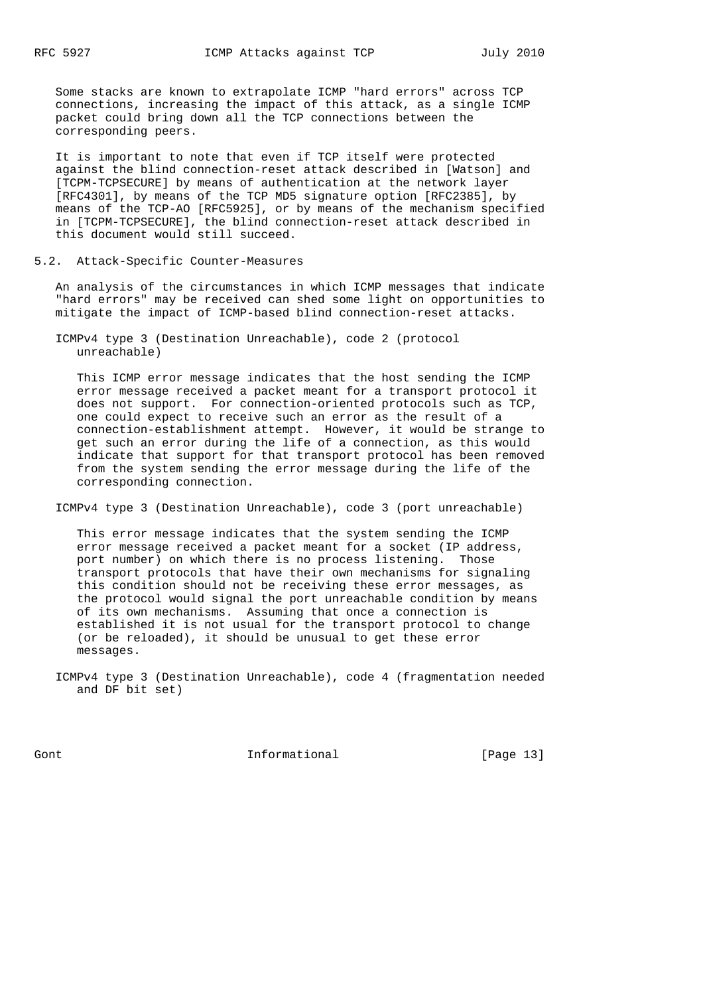Some stacks are known to extrapolate ICMP "hard errors" across TCP connections, increasing the impact of this attack, as a single ICMP packet could bring down all the TCP connections between the corresponding peers.

 It is important to note that even if TCP itself were protected against the blind connection-reset attack described in [Watson] and [TCPM-TCPSECURE] by means of authentication at the network layer [RFC4301], by means of the TCP MD5 signature option [RFC2385], by means of the TCP-AO [RFC5925], or by means of the mechanism specified in [TCPM-TCPSECURE], the blind connection-reset attack described in this document would still succeed.

#### 5.2. Attack-Specific Counter-Measures

 An analysis of the circumstances in which ICMP messages that indicate "hard errors" may be received can shed some light on opportunities to mitigate the impact of ICMP-based blind connection-reset attacks.

 ICMPv4 type 3 (Destination Unreachable), code 2 (protocol unreachable)

 This ICMP error message indicates that the host sending the ICMP error message received a packet meant for a transport protocol it does not support. For connection-oriented protocols such as TCP, one could expect to receive such an error as the result of a connection-establishment attempt. However, it would be strange to get such an error during the life of a connection, as this would indicate that support for that transport protocol has been removed from the system sending the error message during the life of the corresponding connection.

ICMPv4 type 3 (Destination Unreachable), code 3 (port unreachable)

 This error message indicates that the system sending the ICMP error message received a packet meant for a socket (IP address, port number) on which there is no process listening. Those transport protocols that have their own mechanisms for signaling this condition should not be receiving these error messages, as the protocol would signal the port unreachable condition by means of its own mechanisms. Assuming that once a connection is established it is not usual for the transport protocol to change (or be reloaded), it should be unusual to get these error messages.

 ICMPv4 type 3 (Destination Unreachable), code 4 (fragmentation needed and DF bit set)

Gont Gont Communism informational Communism [Page 13]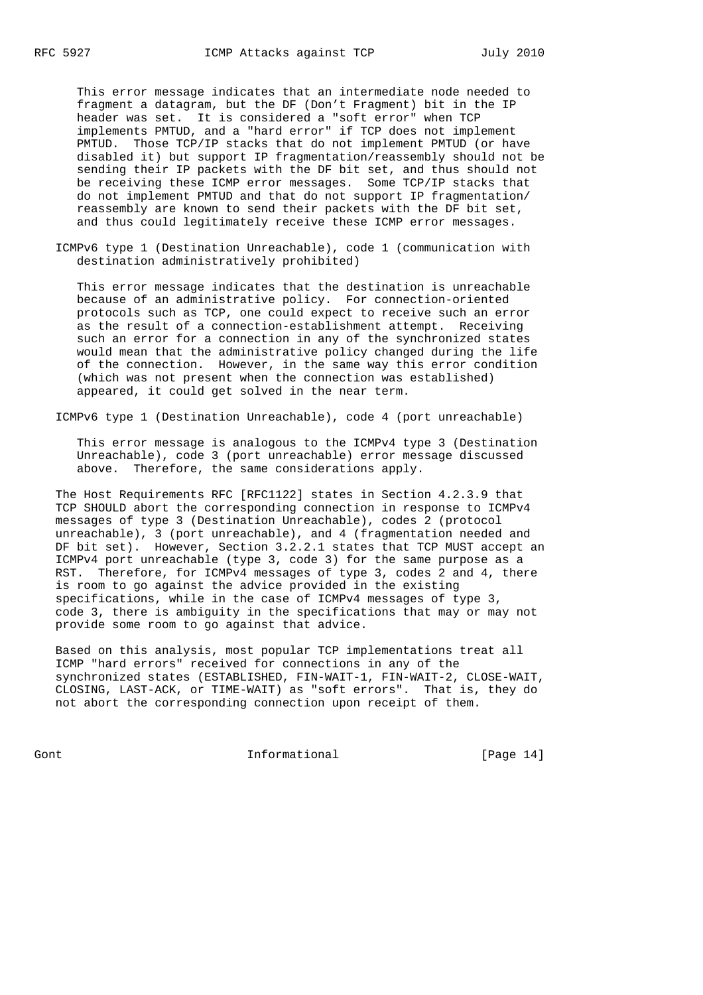This error message indicates that an intermediate node needed to fragment a datagram, but the DF (Don't Fragment) bit in the IP header was set. It is considered a "soft error" when TCP implements PMTUD, and a "hard error" if TCP does not implement PMTUD. Those TCP/IP stacks that do not implement PMTUD (or have disabled it) but support IP fragmentation/reassembly should not be sending their IP packets with the DF bit set, and thus should not be receiving these ICMP error messages. Some TCP/IP stacks that do not implement PMTUD and that do not support IP fragmentation/ reassembly are known to send their packets with the DF bit set, and thus could legitimately receive these ICMP error messages.

 ICMPv6 type 1 (Destination Unreachable), code 1 (communication with destination administratively prohibited)

 This error message indicates that the destination is unreachable because of an administrative policy. For connection-oriented protocols such as TCP, one could expect to receive such an error as the result of a connection-establishment attempt. Receiving such an error for a connection in any of the synchronized states would mean that the administrative policy changed during the life of the connection. However, in the same way this error condition (which was not present when the connection was established) appeared, it could get solved in the near term.

ICMPv6 type 1 (Destination Unreachable), code 4 (port unreachable)

 This error message is analogous to the ICMPv4 type 3 (Destination Unreachable), code 3 (port unreachable) error message discussed above. Therefore, the same considerations apply.

 The Host Requirements RFC [RFC1122] states in Section 4.2.3.9 that TCP SHOULD abort the corresponding connection in response to ICMPv4 messages of type 3 (Destination Unreachable), codes 2 (protocol unreachable), 3 (port unreachable), and 4 (fragmentation needed and DF bit set). However, Section 3.2.2.1 states that TCP MUST accept an ICMPv4 port unreachable (type 3, code 3) for the same purpose as a RST. Therefore, for ICMPv4 messages of type 3, codes 2 and 4, there is room to go against the advice provided in the existing specifications, while in the case of ICMPv4 messages of type 3, code 3, there is ambiguity in the specifications that may or may not provide some room to go against that advice.

 Based on this analysis, most popular TCP implementations treat all ICMP "hard errors" received for connections in any of the synchronized states (ESTABLISHED, FIN-WAIT-1, FIN-WAIT-2, CLOSE-WAIT, CLOSING, LAST-ACK, or TIME-WAIT) as "soft errors". That is, they do not abort the corresponding connection upon receipt of them.

Gont Gont Communism informational Gont [Page 14]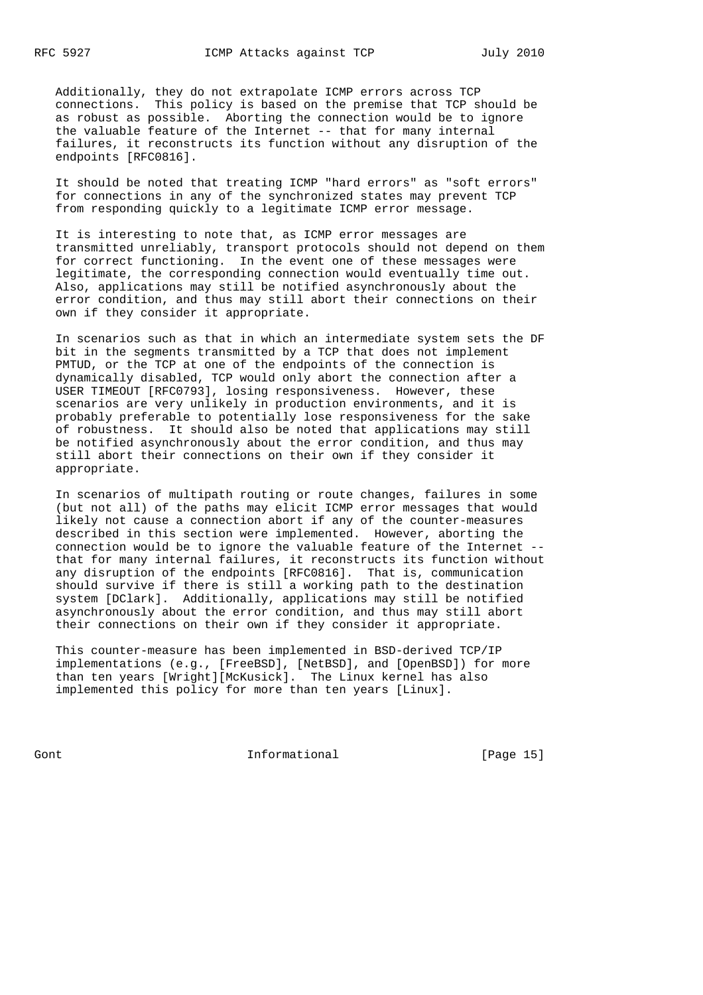Additionally, they do not extrapolate ICMP errors across TCP connections. This policy is based on the premise that TCP should be as robust as possible. Aborting the connection would be to ignore the valuable feature of the Internet -- that for many internal failures, it reconstructs its function without any disruption of the endpoints [RFC0816].

 It should be noted that treating ICMP "hard errors" as "soft errors" for connections in any of the synchronized states may prevent TCP from responding quickly to a legitimate ICMP error message.

 It is interesting to note that, as ICMP error messages are transmitted unreliably, transport protocols should not depend on them for correct functioning. In the event one of these messages were legitimate, the corresponding connection would eventually time out. Also, applications may still be notified asynchronously about the error condition, and thus may still abort their connections on their own if they consider it appropriate.

 In scenarios such as that in which an intermediate system sets the DF bit in the segments transmitted by a TCP that does not implement PMTUD, or the TCP at one of the endpoints of the connection is dynamically disabled, TCP would only abort the connection after a USER TIMEOUT [RFC0793], losing responsiveness. However, these scenarios are very unlikely in production environments, and it is probably preferable to potentially lose responsiveness for the sake of robustness. It should also be noted that applications may still be notified asynchronously about the error condition, and thus may still abort their connections on their own if they consider it appropriate.

 In scenarios of multipath routing or route changes, failures in some (but not all) of the paths may elicit ICMP error messages that would likely not cause a connection abort if any of the counter-measures described in this section were implemented. However, aborting the connection would be to ignore the valuable feature of the Internet - that for many internal failures, it reconstructs its function without any disruption of the endpoints [RFC0816]. That is, communication should survive if there is still a working path to the destination system [DClark]. Additionally, applications may still be notified asynchronously about the error condition, and thus may still abort their connections on their own if they consider it appropriate.

 This counter-measure has been implemented in BSD-derived TCP/IP implementations (e.g., [FreeBSD], [NetBSD], and [OpenBSD]) for more than ten years [Wright][McKusick]. The Linux kernel has also implemented this policy for more than ten years [Linux].

Gont Gont Communism informational Communism [Page 15]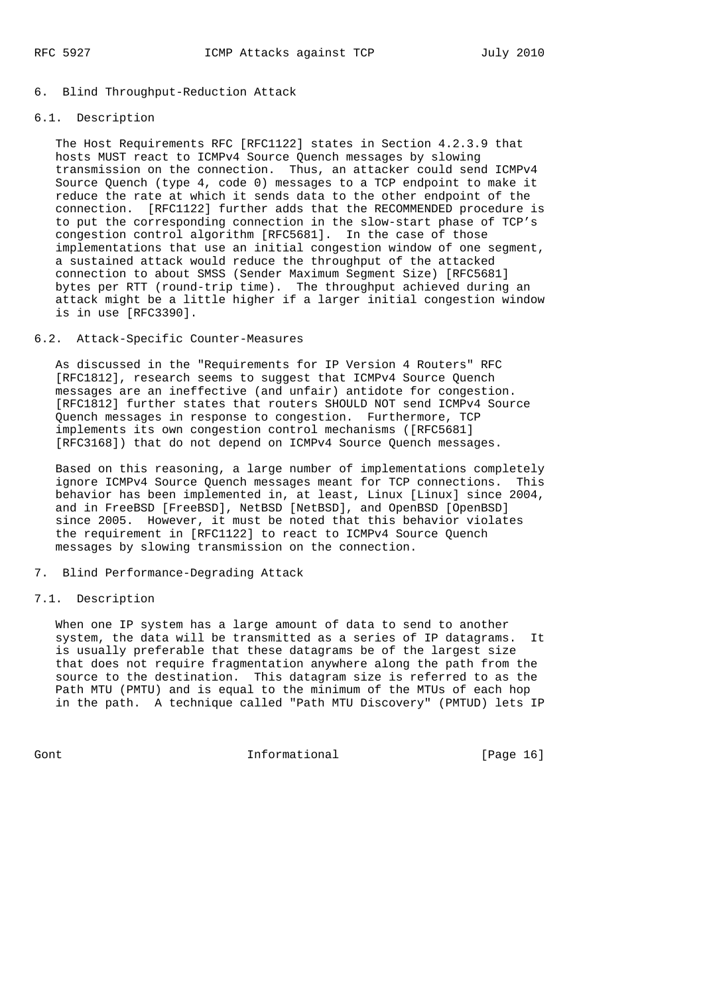#### 6. Blind Throughput-Reduction Attack

## 6.1. Description

 The Host Requirements RFC [RFC1122] states in Section 4.2.3.9 that hosts MUST react to ICMPv4 Source Quench messages by slowing transmission on the connection. Thus, an attacker could send ICMPv4 Source Quench (type 4, code 0) messages to a TCP endpoint to make it reduce the rate at which it sends data to the other endpoint of the connection. [RFC1122] further adds that the RECOMMENDED procedure is to put the corresponding connection in the slow-start phase of TCP's congestion control algorithm [RFC5681]. In the case of those implementations that use an initial congestion window of one segment, a sustained attack would reduce the throughput of the attacked connection to about SMSS (Sender Maximum Segment Size) [RFC5681] bytes per RTT (round-trip time). The throughput achieved during an attack might be a little higher if a larger initial congestion window is in use [RFC3390].

## 6.2. Attack-Specific Counter-Measures

 As discussed in the "Requirements for IP Version 4 Routers" RFC [RFC1812], research seems to suggest that ICMPv4 Source Quench messages are an ineffective (and unfair) antidote for congestion. [RFC1812] further states that routers SHOULD NOT send ICMPv4 Source Quench messages in response to congestion. Furthermore, TCP implements its own congestion control mechanisms ([RFC5681] [RFC3168]) that do not depend on ICMPv4 Source Quench messages.

 Based on this reasoning, a large number of implementations completely ignore ICMPv4 Source Quench messages meant for TCP connections. This behavior has been implemented in, at least, Linux [Linux] since 2004, and in FreeBSD [FreeBSD], NetBSD [NetBSD], and OpenBSD [OpenBSD] since 2005. However, it must be noted that this behavior violates the requirement in [RFC1122] to react to ICMPv4 Source Quench messages by slowing transmission on the connection.

#### 7. Blind Performance-Degrading Attack

## 7.1. Description

 When one IP system has a large amount of data to send to another system, the data will be transmitted as a series of IP datagrams. It is usually preferable that these datagrams be of the largest size that does not require fragmentation anywhere along the path from the source to the destination. This datagram size is referred to as the Path MTU (PMTU) and is equal to the minimum of the MTUs of each hop in the path. A technique called "Path MTU Discovery" (PMTUD) lets IP

Gont Gont 10 Informational The IPage 16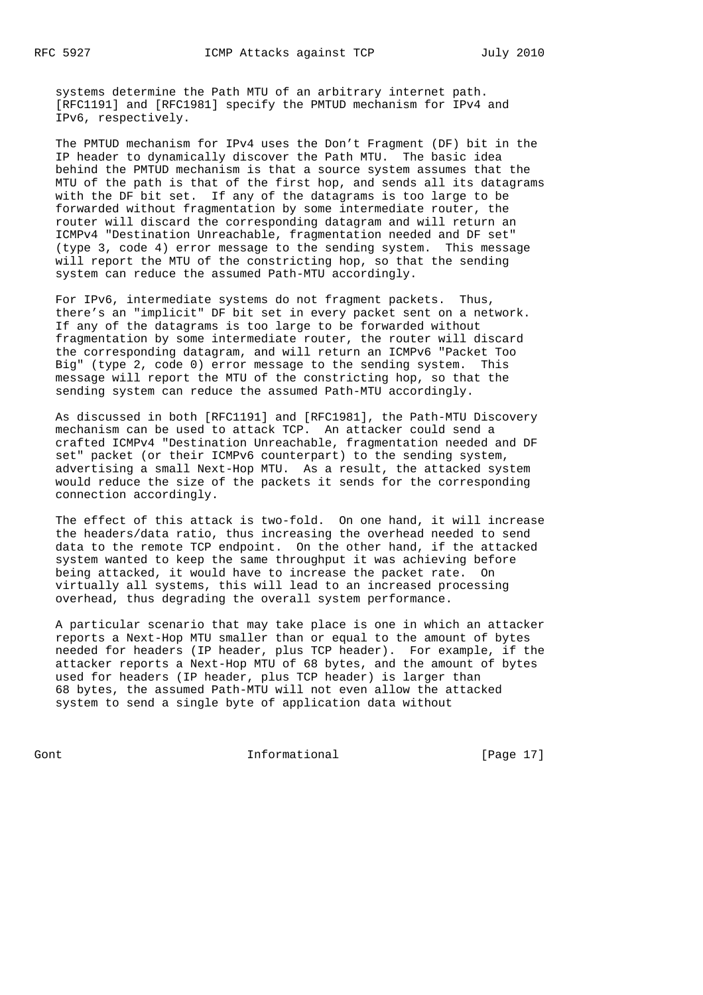systems determine the Path MTU of an arbitrary internet path. [RFC1191] and [RFC1981] specify the PMTUD mechanism for IPv4 and IPv6, respectively.

 The PMTUD mechanism for IPv4 uses the Don't Fragment (DF) bit in the IP header to dynamically discover the Path MTU. The basic idea behind the PMTUD mechanism is that a source system assumes that the MTU of the path is that of the first hop, and sends all its datagrams with the DF bit set. If any of the datagrams is too large to be forwarded without fragmentation by some intermediate router, the router will discard the corresponding datagram and will return an ICMPv4 "Destination Unreachable, fragmentation needed and DF set" (type 3, code 4) error message to the sending system. This message will report the MTU of the constricting hop, so that the sending system can reduce the assumed Path-MTU accordingly.

 For IPv6, intermediate systems do not fragment packets. Thus, there's an "implicit" DF bit set in every packet sent on a network. If any of the datagrams is too large to be forwarded without fragmentation by some intermediate router, the router will discard the corresponding datagram, and will return an ICMPv6 "Packet Too Big" (type 2, code 0) error message to the sending system. This message will report the MTU of the constricting hop, so that the sending system can reduce the assumed Path-MTU accordingly.

 As discussed in both [RFC1191] and [RFC1981], the Path-MTU Discovery mechanism can be used to attack TCP. An attacker could send a crafted ICMPv4 "Destination Unreachable, fragmentation needed and DF set" packet (or their ICMPv6 counterpart) to the sending system, advertising a small Next-Hop MTU. As a result, the attacked system would reduce the size of the packets it sends for the corresponding connection accordingly.

 The effect of this attack is two-fold. On one hand, it will increase the headers/data ratio, thus increasing the overhead needed to send data to the remote TCP endpoint. On the other hand, if the attacked system wanted to keep the same throughput it was achieving before being attacked, it would have to increase the packet rate. On virtually all systems, this will lead to an increased processing overhead, thus degrading the overall system performance.

 A particular scenario that may take place is one in which an attacker reports a Next-Hop MTU smaller than or equal to the amount of bytes needed for headers (IP header, plus TCP header). For example, if the attacker reports a Next-Hop MTU of 68 bytes, and the amount of bytes used for headers (IP header, plus TCP header) is larger than 68 bytes, the assumed Path-MTU will not even allow the attacked system to send a single byte of application data without

Gont Gont Communism informational Gont [Page 17]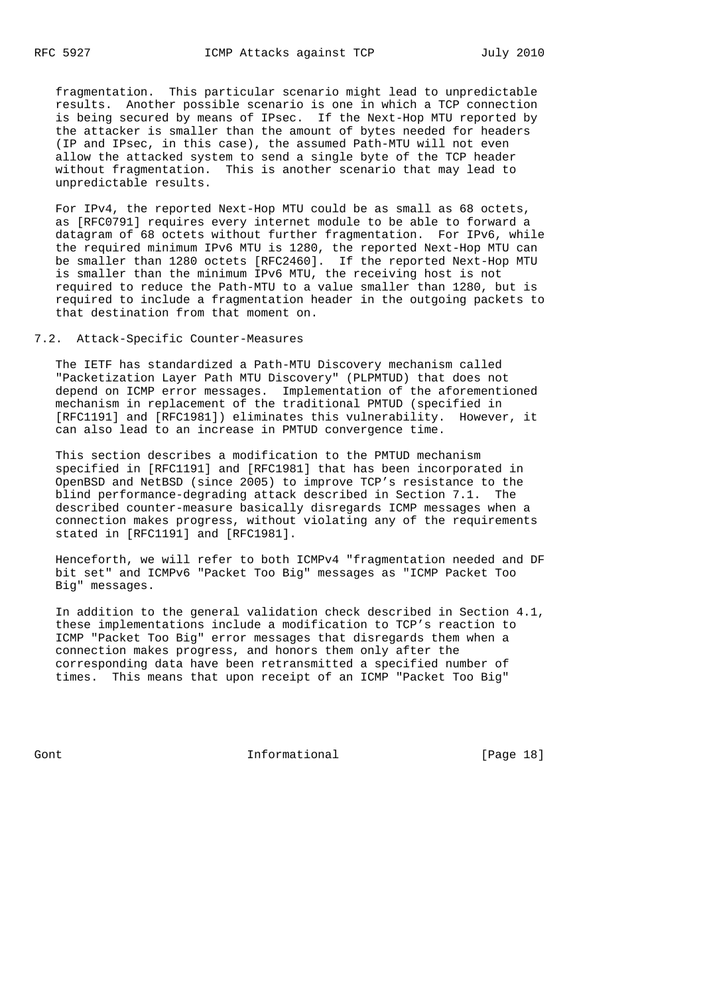fragmentation. This particular scenario might lead to unpredictable results. Another possible scenario is one in which a TCP connection is being secured by means of IPsec. If the Next-Hop MTU reported by the attacker is smaller than the amount of bytes needed for headers (IP and IPsec, in this case), the assumed Path-MTU will not even allow the attacked system to send a single byte of the TCP header without fragmentation. This is another scenario that may lead to unpredictable results.

 For IPv4, the reported Next-Hop MTU could be as small as 68 octets, as [RFC0791] requires every internet module to be able to forward a datagram of 68 octets without further fragmentation. For IPv6, while the required minimum IPv6 MTU is 1280, the reported Next-Hop MTU can be smaller than 1280 octets [RFC2460]. If the reported Next-Hop MTU is smaller than the minimum IPv6 MTU, the receiving host is not required to reduce the Path-MTU to a value smaller than 1280, but is required to include a fragmentation header in the outgoing packets to that destination from that moment on.

## 7.2. Attack-Specific Counter-Measures

 The IETF has standardized a Path-MTU Discovery mechanism called "Packetization Layer Path MTU Discovery" (PLPMTUD) that does not depend on ICMP error messages. Implementation of the aforementioned mechanism in replacement of the traditional PMTUD (specified in [RFC1191] and [RFC1981]) eliminates this vulnerability. However, it can also lead to an increase in PMTUD convergence time.

 This section describes a modification to the PMTUD mechanism specified in [RFC1191] and [RFC1981] that has been incorporated in OpenBSD and NetBSD (since 2005) to improve TCP's resistance to the blind performance-degrading attack described in Section 7.1. The described counter-measure basically disregards ICMP messages when a connection makes progress, without violating any of the requirements stated in [RFC1191] and [RFC1981].

 Henceforth, we will refer to both ICMPv4 "fragmentation needed and DF bit set" and ICMPv6 "Packet Too Big" messages as "ICMP Packet Too Big" messages.

 In addition to the general validation check described in Section 4.1, these implementations include a modification to TCP's reaction to ICMP "Packet Too Big" error messages that disregards them when a connection makes progress, and honors them only after the corresponding data have been retransmitted a specified number of times. This means that upon receipt of an ICMP "Packet Too Big"

Gont Gont Communism informational Communism [Page 18]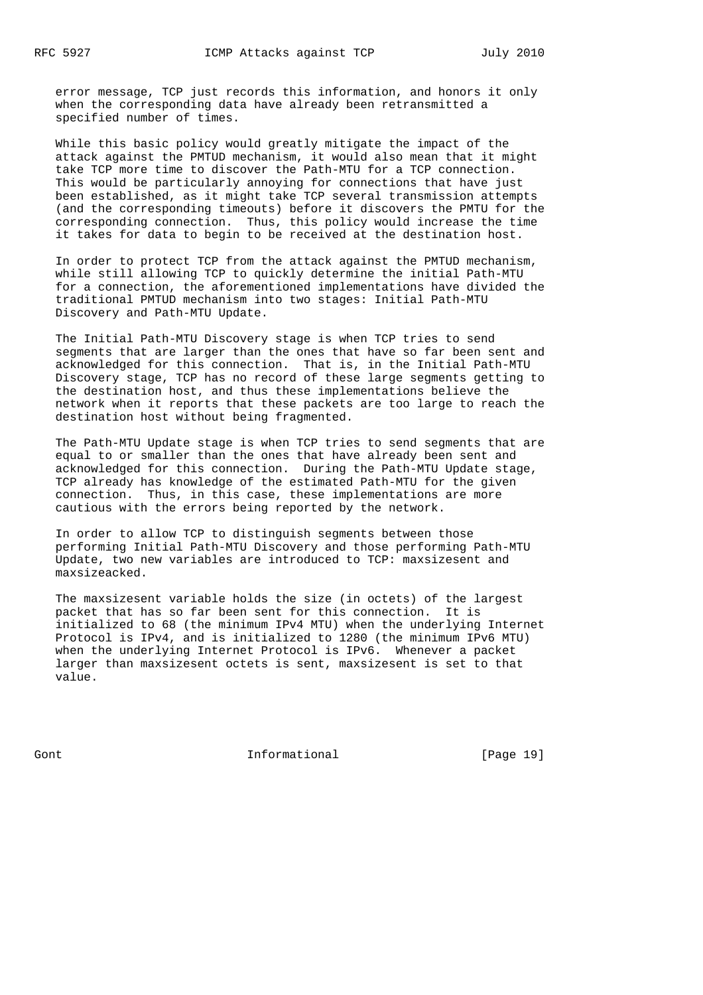error message, TCP just records this information, and honors it only when the corresponding data have already been retransmitted a specified number of times.

 While this basic policy would greatly mitigate the impact of the attack against the PMTUD mechanism, it would also mean that it might take TCP more time to discover the Path-MTU for a TCP connection. This would be particularly annoying for connections that have just been established, as it might take TCP several transmission attempts (and the corresponding timeouts) before it discovers the PMTU for the corresponding connection. Thus, this policy would increase the time it takes for data to begin to be received at the destination host.

 In order to protect TCP from the attack against the PMTUD mechanism, while still allowing TCP to quickly determine the initial Path-MTU for a connection, the aforementioned implementations have divided the traditional PMTUD mechanism into two stages: Initial Path-MTU Discovery and Path-MTU Update.

 The Initial Path-MTU Discovery stage is when TCP tries to send segments that are larger than the ones that have so far been sent and acknowledged for this connection. That is, in the Initial Path-MTU Discovery stage, TCP has no record of these large segments getting to the destination host, and thus these implementations believe the network when it reports that these packets are too large to reach the destination host without being fragmented.

 The Path-MTU Update stage is when TCP tries to send segments that are equal to or smaller than the ones that have already been sent and acknowledged for this connection. During the Path-MTU Update stage, TCP already has knowledge of the estimated Path-MTU for the given connection. Thus, in this case, these implementations are more cautious with the errors being reported by the network.

 In order to allow TCP to distinguish segments between those performing Initial Path-MTU Discovery and those performing Path-MTU Update, two new variables are introduced to TCP: maxsizesent and maxsizeacked.

 The maxsizesent variable holds the size (in octets) of the largest packet that has so far been sent for this connection. It is initialized to 68 (the minimum IPv4 MTU) when the underlying Internet Protocol is IPv4, and is initialized to 1280 (the minimum IPv6 MTU) when the underlying Internet Protocol is IPv6. Whenever a packet larger than maxsizesent octets is sent, maxsizesent is set to that value.

Gont **Informational Informational** [Page 19]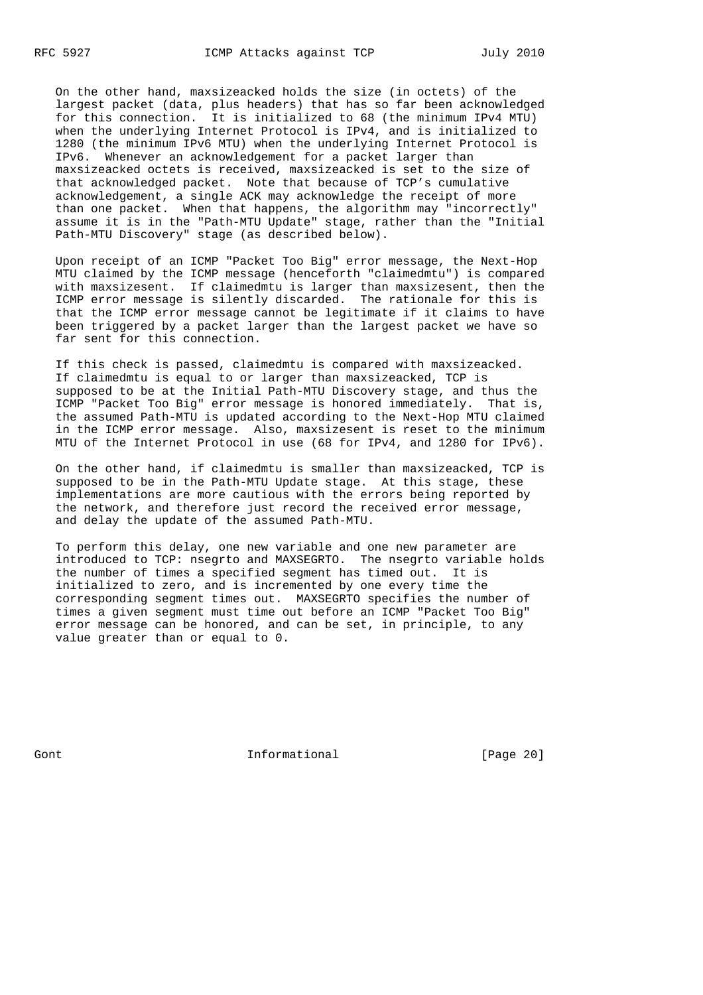On the other hand, maxsizeacked holds the size (in octets) of the largest packet (data, plus headers) that has so far been acknowledged for this connection. It is initialized to 68 (the minimum IPv4 MTU) when the underlying Internet Protocol is IPv4, and is initialized to 1280 (the minimum IPv6 MTU) when the underlying Internet Protocol is IPv6. Whenever an acknowledgement for a packet larger than maxsizeacked octets is received, maxsizeacked is set to the size of that acknowledged packet. Note that because of TCP's cumulative acknowledgement, a single ACK may acknowledge the receipt of more than one packet. When that happens, the algorithm may "incorrectly" assume it is in the "Path-MTU Update" stage, rather than the "Initial Path-MTU Discovery" stage (as described below).

 Upon receipt of an ICMP "Packet Too Big" error message, the Next-Hop MTU claimed by the ICMP message (henceforth "claimedmtu") is compared with maxsizesent. If claimedmtu is larger than maxsizesent, then the ICMP error message is silently discarded. The rationale for this is that the ICMP error message cannot be legitimate if it claims to have been triggered by a packet larger than the largest packet we have so far sent for this connection.

 If this check is passed, claimedmtu is compared with maxsizeacked. If claimedmtu is equal to or larger than maxsizeacked, TCP is supposed to be at the Initial Path-MTU Discovery stage, and thus the ICMP "Packet Too Big" error message is honored immediately. That is, the assumed Path-MTU is updated according to the Next-Hop MTU claimed in the ICMP error message. Also, maxsizesent is reset to the minimum MTU of the Internet Protocol in use (68 for IPv4, and 1280 for IPv6).

 On the other hand, if claimedmtu is smaller than maxsizeacked, TCP is supposed to be in the Path-MTU Update stage. At this stage, these implementations are more cautious with the errors being reported by the network, and therefore just record the received error message, and delay the update of the assumed Path-MTU.

 To perform this delay, one new variable and one new parameter are introduced to TCP: nsegrto and MAXSEGRTO. The nsegrto variable holds the number of times a specified segment has timed out. It is initialized to zero, and is incremented by one every time the corresponding segment times out. MAXSEGRTO specifies the number of times a given segment must time out before an ICMP "Packet Too Big" error message can be honored, and can be set, in principle, to any value greater than or equal to 0.

Gont **Informational Informational** [Page 20]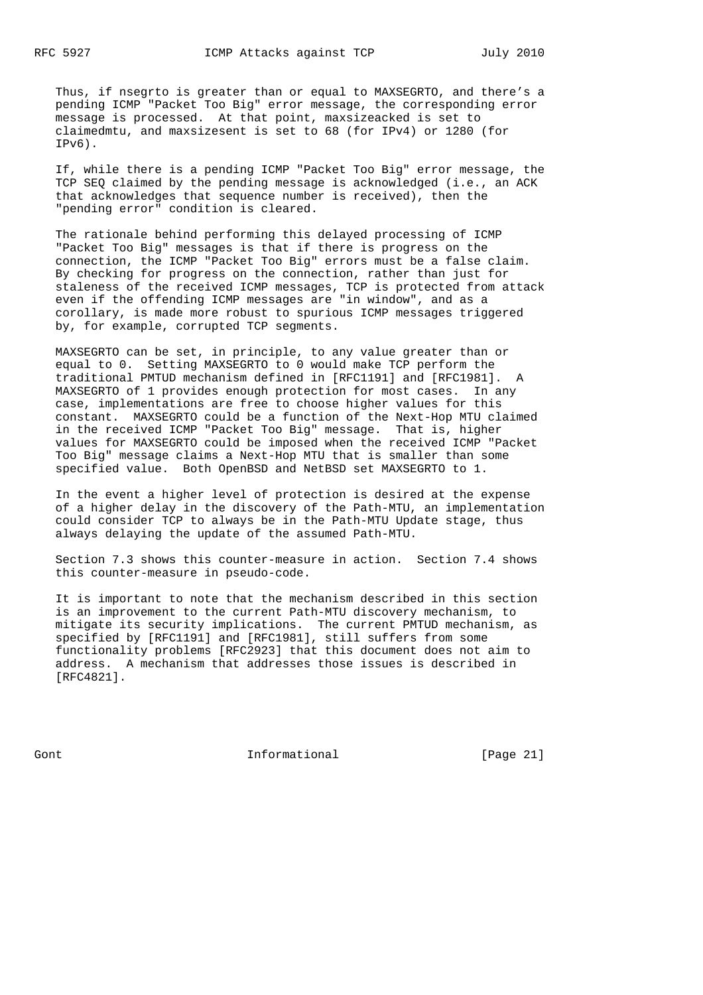Thus, if nsegrto is greater than or equal to MAXSEGRTO, and there's a pending ICMP "Packet Too Big" error message, the corresponding error message is processed. At that point, maxsizeacked is set to claimedmtu, and maxsizesent is set to 68 (for IPv4) or 1280 (for IPv6).

 If, while there is a pending ICMP "Packet Too Big" error message, the TCP SEQ claimed by the pending message is acknowledged (i.e., an ACK that acknowledges that sequence number is received), then the "pending error" condition is cleared.

 The rationale behind performing this delayed processing of ICMP "Packet Too Big" messages is that if there is progress on the connection, the ICMP "Packet Too Big" errors must be a false claim. By checking for progress on the connection, rather than just for staleness of the received ICMP messages, TCP is protected from attack even if the offending ICMP messages are "in window", and as a corollary, is made more robust to spurious ICMP messages triggered by, for example, corrupted TCP segments.

 MAXSEGRTO can be set, in principle, to any value greater than or equal to 0. Setting MAXSEGRTO to 0 would make TCP perform the traditional PMTUD mechanism defined in [RFC1191] and [RFC1981]. A MAXSEGRTO of 1 provides enough protection for most cases. In any case, implementations are free to choose higher values for this constant. MAXSEGRTO could be a function of the Next-Hop MTU claimed in the received ICMP "Packet Too Big" message. That is, higher values for MAXSEGRTO could be imposed when the received ICMP "Packet Too Big" message claims a Next-Hop MTU that is smaller than some specified value. Both OpenBSD and NetBSD set MAXSEGRTO to 1.

 In the event a higher level of protection is desired at the expense of a higher delay in the discovery of the Path-MTU, an implementation could consider TCP to always be in the Path-MTU Update stage, thus always delaying the update of the assumed Path-MTU.

 Section 7.3 shows this counter-measure in action. Section 7.4 shows this counter-measure in pseudo-code.

 It is important to note that the mechanism described in this section is an improvement to the current Path-MTU discovery mechanism, to mitigate its security implications. The current PMTUD mechanism, as specified by [RFC1191] and [RFC1981], still suffers from some functionality problems [RFC2923] that this document does not aim to address. A mechanism that addresses those issues is described in [RFC4821].

Gont Gont Communism informational Gont [Page 21]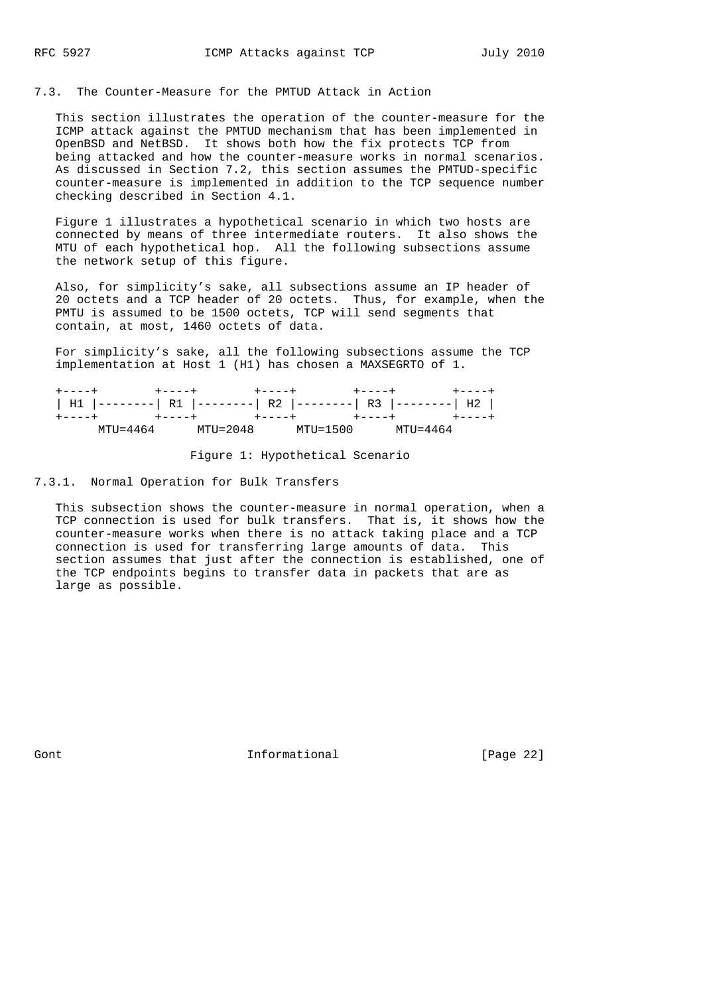## 7.3. The Counter-Measure for the PMTUD Attack in Action

 This section illustrates the operation of the counter-measure for the ICMP attack against the PMTUD mechanism that has been implemented in OpenBSD and NetBSD. It shows both how the fix protects TCP from being attacked and how the counter-measure works in normal scenarios. As discussed in Section 7.2, this section assumes the PMTUD-specific counter-measure is implemented in addition to the TCP sequence number checking described in Section 4.1.

 Figure 1 illustrates a hypothetical scenario in which two hosts are connected by means of three intermediate routers. It also shows the MTU of each hypothetical hop. All the following subsections assume the network setup of this figure.

 Also, for simplicity's sake, all subsections assume an IP header of 20 octets and a TCP header of 20 octets. Thus, for example, when the PMTU is assumed to be 1500 octets, TCP will send segments that contain, at most, 1460 octets of data.

 For simplicity's sake, all the following subsections assume the TCP implementation at Host 1 (H1) has chosen a MAXSEGRTO of 1.

| $+ - - - - +$ | $+ - - - - +$                                              |          | $+ - - - - +$ | $+ - - - - +$ |               |
|---------------|------------------------------------------------------------|----------|---------------|---------------|---------------|
|               | H1  --------  R1  --------  R2  --------  R3  --------  H2 |          |               |               |               |
| $+ - - - - +$ | $+ - - - - +$                                              |          | $+ - - - - +$ | +----+        | $+ - - - - +$ |
|               | MTU=4464                                                   | MTU=2048 | MTU=1500      |               | MTIJ=4464     |

Figure 1: Hypothetical Scenario

7.3.1. Normal Operation for Bulk Transfers

 This subsection shows the counter-measure in normal operation, when a TCP connection is used for bulk transfers. That is, it shows how the counter-measure works when there is no attack taking place and a TCP connection is used for transferring large amounts of data. This section assumes that just after the connection is established, one of the TCP endpoints begins to transfer data in packets that are as large as possible.

Gont **Informational Informational** [Page 22]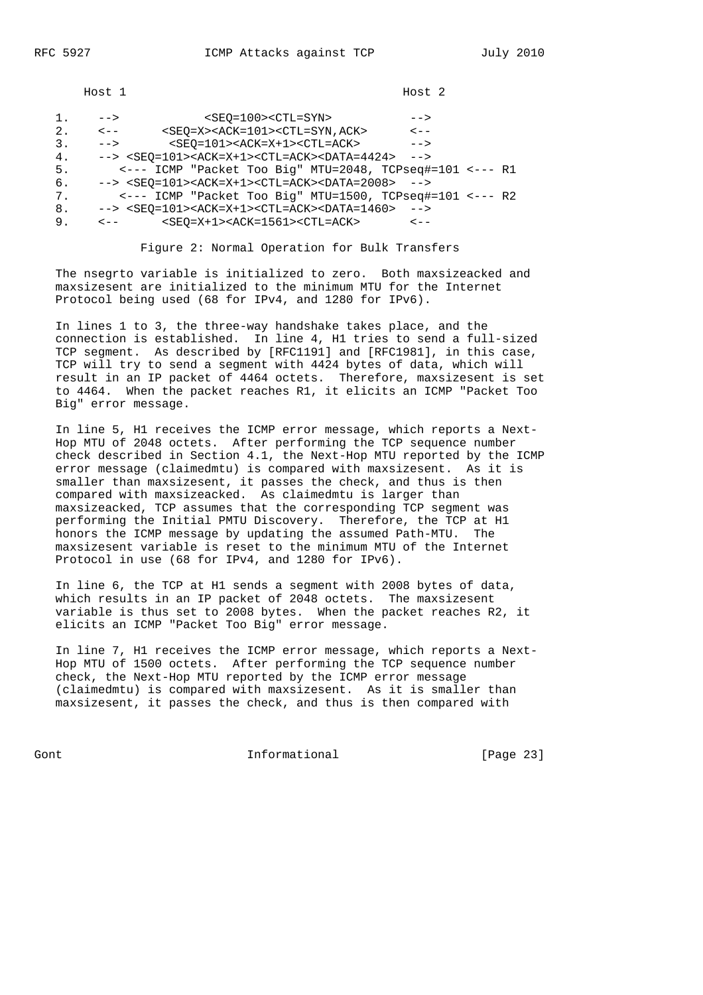Host 1 Host 2

| ı. | $--$      | $<$ SEO=100> <ctl=syn></ctl=syn>                                                                | $--$      |  |
|----|-----------|-------------------------------------------------------------------------------------------------|-----------|--|
| 2. | $\lt$ $-$ | <seo=x><ack=101><ctl=syn, ack=""></ctl=syn,></ack=101></seo=x>                                  | $\lt$ $-$ |  |
| 3. | $--$      | $<$ SEO=101> <ack=x+1><ctl=ack></ctl=ack></ack=x+1>                                             | $--$      |  |
| 4. |           | $\texttt{--}>$ <seo=101><ack=x+1><ctl=ack><data=4424></data=4424></ctl=ack></ack=x+1></seo=101> | $--$      |  |
| 5. |           | <--- ICMP "Packet Too Big" MTU=2048, TCPseg#=101 <--- R1                                        |           |  |
| 6. |           | $--$ > <seq=101><ack=x+1><ctl=ack><data=2008> --&gt;</data=2008></ctl=ack></ack=x+1></seq=101>  |           |  |
| 7. |           | <--- ICMP "Packet Too Big" MTU=1500, TCPseq#=101 <--- R2                                        |           |  |
| 8. |           | $--$ > <seo=101><ack=x+1><ctl=ack><data=1460> --&gt;</data=1460></ctl=ack></ack=x+1></seo=101>  |           |  |
| 9. | $\lt$ $-$ | $<$ SEO=X+1> <ack=1561><ctl=ack></ctl=ack></ack=1561>                                           | $\lt - -$ |  |
|    |           |                                                                                                 |           |  |

Figure 2: Normal Operation for Bulk Transfers

 The nsegrto variable is initialized to zero. Both maxsizeacked and maxsizesent are initialized to the minimum MTU for the Internet Protocol being used (68 for IPv4, and 1280 for IPv6).

 In lines 1 to 3, the three-way handshake takes place, and the connection is established. In line 4, H1 tries to send a full-sized TCP segment. As described by [RFC1191] and [RFC1981], in this case, TCP will try to send a segment with 4424 bytes of data, which will result in an IP packet of 4464 octets. Therefore, maxsizesent is set to 4464. When the packet reaches R1, it elicits an ICMP "Packet Too Big" error message.

 In line 5, H1 receives the ICMP error message, which reports a Next- Hop MTU of 2048 octets. After performing the TCP sequence number check described in Section 4.1, the Next-Hop MTU reported by the ICMP error message (claimedmtu) is compared with maxsizesent. As it is smaller than maxsizesent, it passes the check, and thus is then compared with maxsizeacked. As claimedmtu is larger than maxsizeacked, TCP assumes that the corresponding TCP segment was performing the Initial PMTU Discovery. Therefore, the TCP at H1 honors the ICMP message by updating the assumed Path-MTU. The maxsizesent variable is reset to the minimum MTU of the Internet Protocol in use (68 for IPv4, and 1280 for IPv6).

 In line 6, the TCP at H1 sends a segment with 2008 bytes of data, which results in an IP packet of 2048 octets. The maxsizesent variable is thus set to 2008 bytes. When the packet reaches R2, it elicits an ICMP "Packet Too Big" error message.

 In line 7, H1 receives the ICMP error message, which reports a Next- Hop MTU of 1500 octets. After performing the TCP sequence number check, the Next-Hop MTU reported by the ICMP error message (claimedmtu) is compared with maxsizesent. As it is smaller than maxsizesent, it passes the check, and thus is then compared with

Gont Gont Communism informational Communism [Page 23]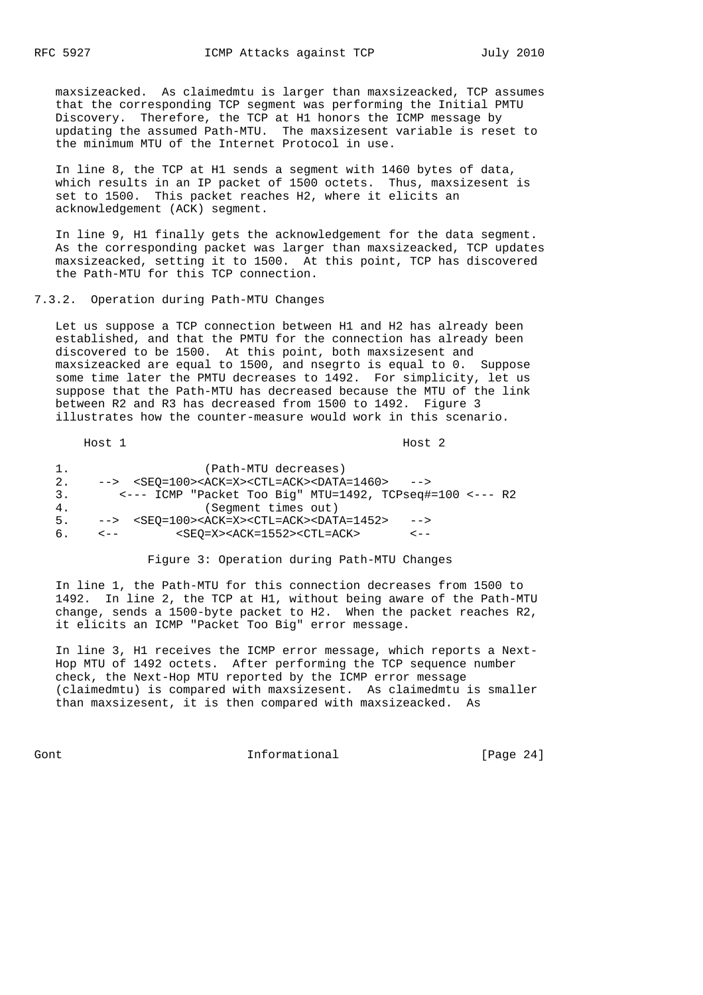maxsizeacked. As claimedmtu is larger than maxsizeacked, TCP assumes that the corresponding TCP segment was performing the Initial PMTU Discovery. Therefore, the TCP at H1 honors the ICMP message by updating the assumed Path-MTU. The maxsizesent variable is reset to the minimum MTU of the Internet Protocol in use.

 In line 8, the TCP at H1 sends a segment with 1460 bytes of data, which results in an IP packet of 1500 octets. Thus, maxsizesent is set to 1500. This packet reaches H2, where it elicits an acknowledgement (ACK) segment.

 In line 9, H1 finally gets the acknowledgement for the data segment. As the corresponding packet was larger than maxsizeacked, TCP updates maxsizeacked, setting it to 1500. At this point, TCP has discovered the Path-MTU for this TCP connection.

#### 7.3.2. Operation during Path-MTU Changes

 Let us suppose a TCP connection between H1 and H2 has already been established, and that the PMTU for the connection has already been discovered to be 1500. At this point, both maxsizesent and maxsizeacked are equal to 1500, and nsegrto is equal to 0. Suppose some time later the PMTU decreases to 1492. For simplicity, let us suppose that the Path-MTU has decreased because the MTU of the link between R2 and R3 has decreased from 1500 to 1492. Figure 3 illustrates how the counter-measure would work in this scenario.

Host 1 Host 2

|    | (Path-MTU decreases)                                                                                            |
|----|-----------------------------------------------------------------------------------------------------------------|
| 2. | $\texttt{---}$ <seo=100><ack=x><ctl=ack><data=1460><br/><math>--</math></data=1460></ctl=ack></ack=x></seo=100> |
| 3. | $\leftarrow$ --- ICMP "Packet Too Biq" MTU=1492, TCPseq#=100 $\leftarrow$ --- R2                                |
| 4. | (Segment times out)                                                                                             |
| 5. | $\texttt{---}$ <seo=100><ack=x><ctl=ack><data=1452><br/><math>--</math></data=1452></ctl=ack></ack=x></seo=100> |
| 6. | $<$ SEO=X> <ack=1552><ctl=ack><br/><math>\lt</math> <math>-</math><br/><u> &lt; - -</u></ctl=ack></ack=1552>    |

#### Figure 3: Operation during Path-MTU Changes

 In line 1, the Path-MTU for this connection decreases from 1500 to 1492. In line 2, the TCP at H1, without being aware of the Path-MTU change, sends a 1500-byte packet to H2. When the packet reaches R2, it elicits an ICMP "Packet Too Big" error message.

 In line 3, H1 receives the ICMP error message, which reports a Next- Hop MTU of 1492 octets. After performing the TCP sequence number check, the Next-Hop MTU reported by the ICMP error message (claimedmtu) is compared with maxsizesent. As claimedmtu is smaller than maxsizesent, it is then compared with maxsizeacked. As

Gont Gont Communism informational Gont [Page 24]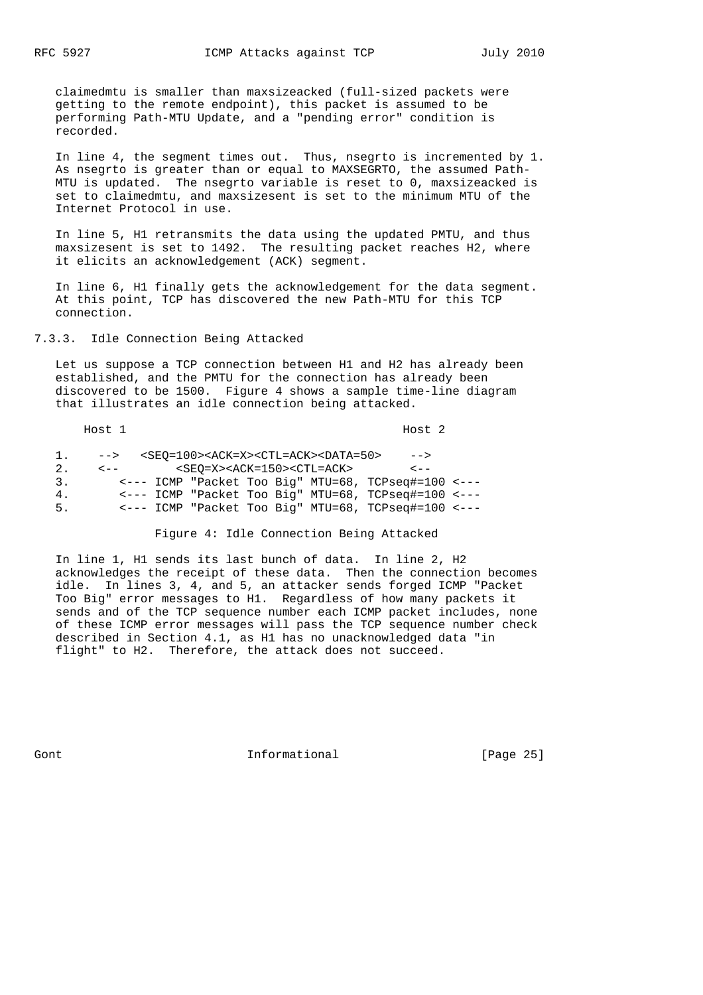claimedmtu is smaller than maxsizeacked (full-sized packets were getting to the remote endpoint), this packet is assumed to be performing Path-MTU Update, and a "pending error" condition is recorded.

 In line 4, the segment times out. Thus, nsegrto is incremented by 1. As nsegrto is greater than or equal to MAXSEGRTO, the assumed Path- MTU is updated. The nsegrto variable is reset to 0, maxsizeacked is set to claimedmtu, and maxsizesent is set to the minimum MTU of the Internet Protocol in use.

 In line 5, H1 retransmits the data using the updated PMTU, and thus maxsizesent is set to 1492. The resulting packet reaches H2, where it elicits an acknowledgement (ACK) segment.

 In line 6, H1 finally gets the acknowledgement for the data segment. At this point, TCP has discovered the new Path-MTU for this TCP connection.

7.3.3. Idle Connection Being Attacked

 Let us suppose a TCP connection between H1 and H2 has already been established, and the PMTU for the connection has already been discovered to be 1500. Figure 4 shows a sample time-line diagram that illustrates an idle connection being attacked.

|    | Host 1           |  |                                                   |  |                                                                          | Host 2                                              |  |
|----|------------------|--|---------------------------------------------------|--|--------------------------------------------------------------------------|-----------------------------------------------------|--|
| 1. | $-->$            |  |                                                   |  | <seo=100><ack=x><ctl=ack><data=50></data=50></ctl=ack></ack=x></seo=100> | $--$                                                |  |
| 2. | $\epsilon$ - $-$ |  | $<$ SEO=X> <ack=150><ctl=ack></ctl=ack></ack=150> |  |                                                                          | $\lt$ $-$                                           |  |
| 3. |                  |  |                                                   |  |                                                                          | <--- ICMP "Packet Too Big" MTU=68, TCPseg#=100 <--- |  |
| 4. |                  |  |                                                   |  |                                                                          | <--- ICMP "Packet Too Biq" MTU=68, TCPseq#=100 <--- |  |
| 5. |                  |  |                                                   |  |                                                                          | <--- ICMP "Packet Too Big" MTU=68, TCPseq#=100 <--- |  |

Figure 4: Idle Connection Being Attacked

 In line 1, H1 sends its last bunch of data. In line 2, H2 acknowledges the receipt of these data. Then the connection becomes idle. In lines 3, 4, and 5, an attacker sends forged ICMP "Packet Too Big" error messages to H1. Regardless of how many packets it sends and of the TCP sequence number each ICMP packet includes, none of these ICMP error messages will pass the TCP sequence number check described in Section 4.1, as H1 has no unacknowledged data "in flight" to H2. Therefore, the attack does not succeed.

Gont Gont Communism informational Gont [Page 25]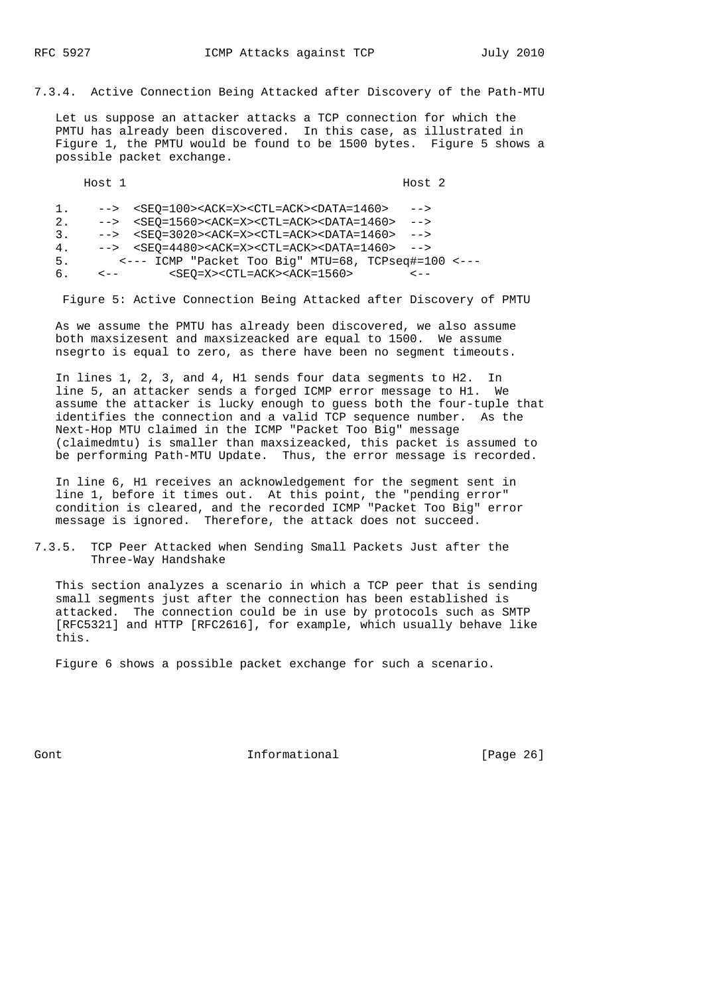7.3.4. Active Connection Being Attacked after Discovery of the Path-MTU

 Let us suppose an attacker attacks a TCP connection for which the PMTU has already been discovered. In this case, as illustrated in Figure 1, the PMTU would be found to be 1500 bytes. Figure 5 shows a possible packet exchange.

|    | Host 1                  |                                                                                               | Host <sub>2</sub> |  |
|----|-------------------------|-----------------------------------------------------------------------------------------------|-------------------|--|
| 1. | $-->$                   | $<$ SEO=100> <ack=x><ctl=ack><data=1460></data=1460></ctl=ack></ack=x>                        | $--$              |  |
| 2. |                         | $\texttt{--}>$ <seo=1560><ack=x><ctl=ack><data=1460></data=1460></ctl=ack></ack=x></seo=1560> | $--$              |  |
| 3. |                         | $\texttt{--}>$ <seo=3020><ack=x><ctl=ack><data=1460></data=1460></ctl=ack></ack=x></seo=3020> | $--$              |  |
| 4. |                         | $\text{--}\text{--}\text{--}\text{SEC}$ = 4480 > < ACK = X > < CTL = ACK > < DATA = 1460 >    | $--$              |  |
| 5. |                         | <--- ICMP "Packet Too Big" MTU=68, TCPseq#=100 <---                                           |                   |  |
| 6. | $\epsilon$ - $\epsilon$ | $<$ SEO=X> <ctl=ack><ack=1560></ack=1560></ctl=ack>                                           |                   |  |

Figure 5: Active Connection Being Attacked after Discovery of PMTU

 As we assume the PMTU has already been discovered, we also assume both maxsizesent and maxsizeacked are equal to 1500. We assume nsegrto is equal to zero, as there have been no segment timeouts.

 In lines 1, 2, 3, and 4, H1 sends four data segments to H2. In line 5, an attacker sends a forged ICMP error message to H1. We assume the attacker is lucky enough to guess both the four-tuple that identifies the connection and a valid TCP sequence number. As the Next-Hop MTU claimed in the ICMP "Packet Too Big" message (claimedmtu) is smaller than maxsizeacked, this packet is assumed to be performing Path-MTU Update. Thus, the error message is recorded.

 In line 6, H1 receives an acknowledgement for the segment sent in line 1, before it times out. At this point, the "pending error" condition is cleared, and the recorded ICMP "Packet Too Big" error message is ignored. Therefore, the attack does not succeed.

7.3.5. TCP Peer Attacked when Sending Small Packets Just after the Three-Way Handshake

 This section analyzes a scenario in which a TCP peer that is sending small segments just after the connection has been established is attacked. The connection could be in use by protocols such as SMTP [RFC5321] and HTTP [RFC2616], for example, which usually behave like this.

Figure 6 shows a possible packet exchange for such a scenario.

Gont Gont 1nformational [Page 26]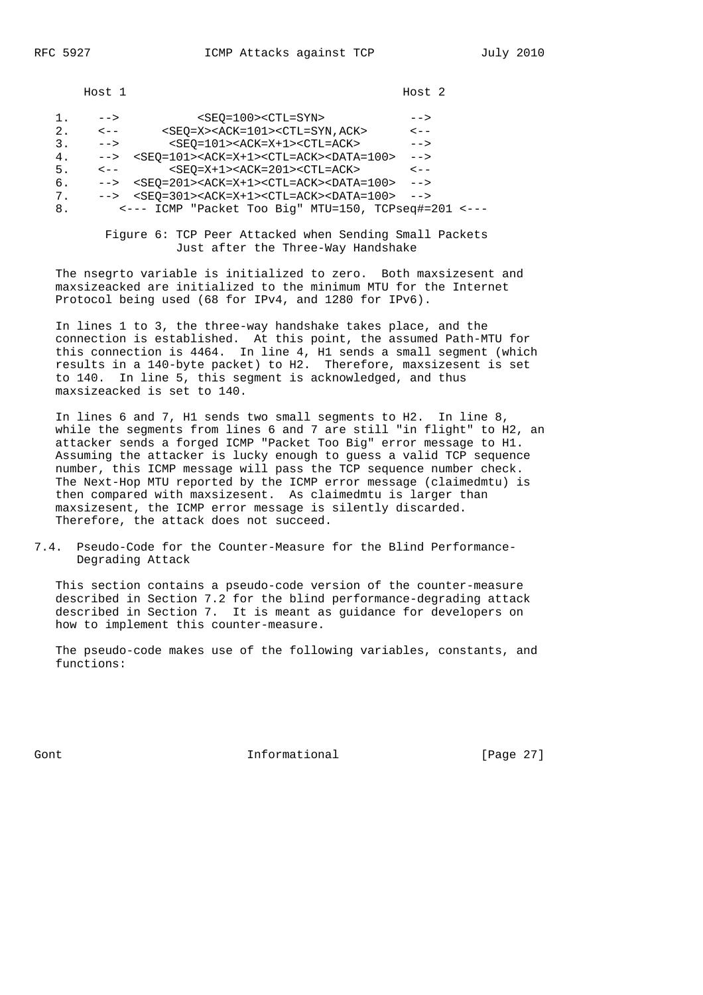Host 1 Host 2

| ı. | $--&>$    | $<$ SEO=100> <ctl=syn></ctl=syn>                                                              | $--$      |  |
|----|-----------|-----------------------------------------------------------------------------------------------|-----------|--|
| 2. | $\lt$ $-$ | <seo=x><ack=101><ctl=syn, ack=""></ctl=syn,></ack=101></seo=x>                                | $\lt$ $-$ |  |
| 3. | $--$      | $<$ SEO=101> <ack=x+1><ctl=ack></ctl=ack></ack=x+1>                                           | -->       |  |
| 4. | $--&>$    | $<$ SEO=101> <ack=x+1><ctl=ack><data=100></data=100></ctl=ack></ack=x+1>                      | $--$      |  |
| 5. | $\lt$ $-$ | $<$ SEQ=X+1> <ack=201><ctl=ack></ctl=ack></ack=201>                                           | $\lt$ $-$ |  |
| б. | $--&>$    | $<$ SEQ=201> <ack=x+1><ctl=ack><data=100></data=100></ctl=ack></ack=x+1>                      | $--$      |  |
| 7. |           | $\texttt{--}>$ <seo=301><ack=x+1><ctl=ack><data=100></data=100></ctl=ack></ack=x+1></seo=301> | $--$      |  |
| 8. |           | <--- ICMP "Packet Too Big" MTU=150, TCPseq#=201 <---                                          |           |  |
|    |           |                                                                                               |           |  |

 Figure 6: TCP Peer Attacked when Sending Small Packets Just after the Three-Way Handshake

 The nsegrto variable is initialized to zero. Both maxsizesent and maxsizeacked are initialized to the minimum MTU for the Internet Protocol being used (68 for IPv4, and 1280 for IPv6).

 In lines 1 to 3, the three-way handshake takes place, and the connection is established. At this point, the assumed Path-MTU for this connection is 4464. In line 4, H1 sends a small segment (which results in a 140-byte packet) to H2. Therefore, maxsizesent is set to 140. In line 5, this segment is acknowledged, and thus maxsizeacked is set to 140.

 In lines 6 and 7, H1 sends two small segments to H2. In line 8, while the segments from lines 6 and 7 are still "in flight" to H2, an attacker sends a forged ICMP "Packet Too Big" error message to H1. Assuming the attacker is lucky enough to guess a valid TCP sequence number, this ICMP message will pass the TCP sequence number check. The Next-Hop MTU reported by the ICMP error message (claimedmtu) is then compared with maxsizesent. As claimedmtu is larger than maxsizesent, the ICMP error message is silently discarded. Therefore, the attack does not succeed.

7.4. Pseudo-Code for the Counter-Measure for the Blind Performance- Degrading Attack

 This section contains a pseudo-code version of the counter-measure described in Section 7.2 for the blind performance-degrading attack described in Section 7. It is meant as guidance for developers on how to implement this counter-measure.

 The pseudo-code makes use of the following variables, constants, and functions:

Gont Gont Communism informational Gont [Page 27]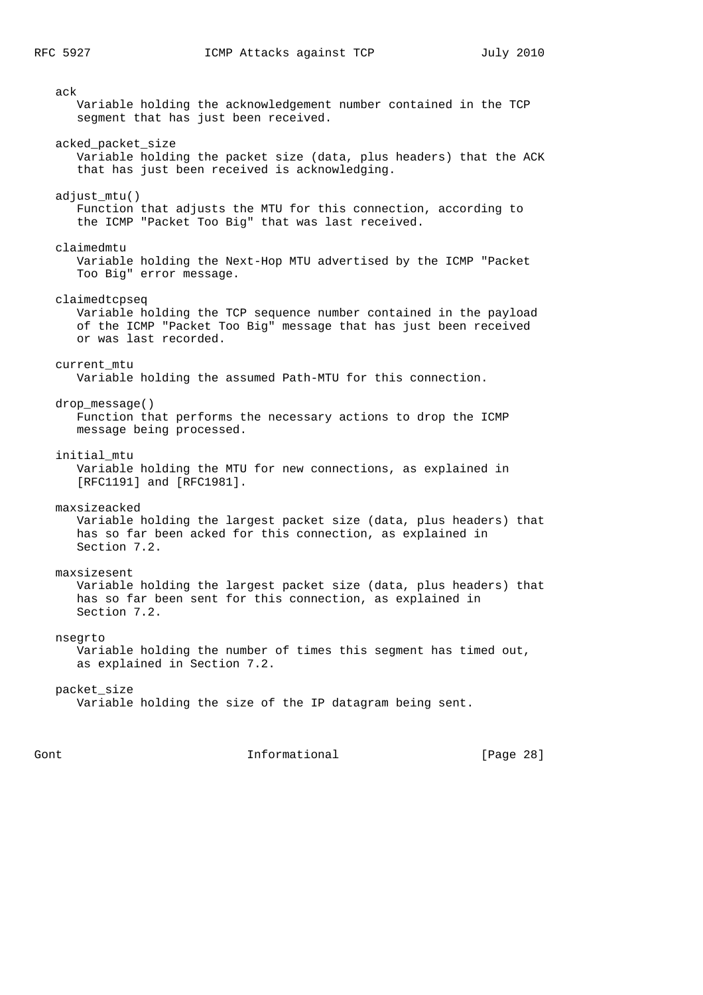ack Variable holding the acknowledgement number contained in the TCP segment that has just been received. acked\_packet\_size Variable holding the packet size (data, plus headers) that the ACK that has just been received is acknowledging. adjust mtu() Function that adjusts the MTU for this connection, according to the ICMP "Packet Too Big" that was last received. claimedmtu Variable holding the Next-Hop MTU advertised by the ICMP "Packet Too Big" error message. claimedtcpseq Variable holding the TCP sequence number contained in the payload of the ICMP "Packet Too Big" message that has just been received or was last recorded. current\_mtu Variable holding the assumed Path-MTU for this connection. drop\_message() Function that performs the necessary actions to drop the ICMP message being processed. initial\_mtu Variable holding the MTU for new connections, as explained in [RFC1191] and [RFC1981]. maxsizeacked Variable holding the largest packet size (data, plus headers) that has so far been acked for this connection, as explained in Section 7.2. maxsizesent Variable holding the largest packet size (data, plus headers) that has so far been sent for this connection, as explained in Section 7.2. nsegrto Variable holding the number of times this segment has timed out, as explained in Section 7.2. packet\_size Variable holding the size of the IP datagram being sent.

Gont Gont Communism informational Communism (Page 28)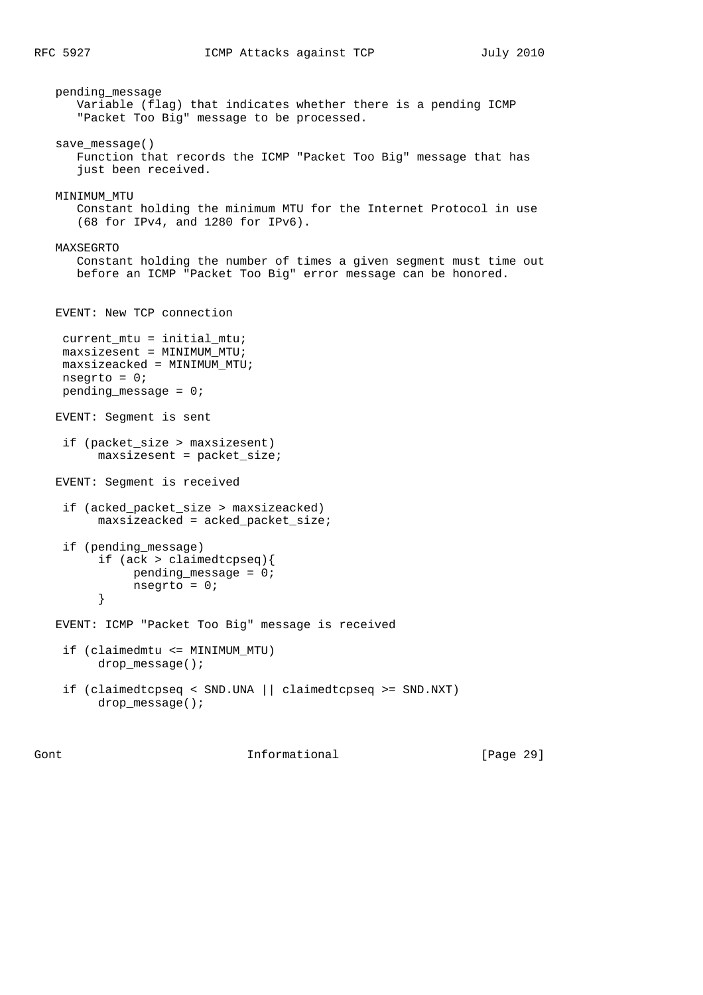pending\_message Variable (flag) that indicates whether there is a pending ICMP "Packet Too Big" message to be processed. save\_message() Function that records the ICMP "Packet Too Big" message that has just been received. MINIMUM\_MTU Constant holding the minimum MTU for the Internet Protocol in use (68 for IPv4, and 1280 for IPv6). MAXSEGRTO Constant holding the number of times a given segment must time out before an ICMP "Packet Too Big" error message can be honored. EVENT: New TCP connection current\_mtu = initial\_mtu; maxsizesent = MINIMUM\_MTU; maxsizeacked = MINIMUM\_MTU; nsegrto =  $0;$ pending message =  $0;$  EVENT: Segment is sent if (packet\_size > maxsizesent) maxsizesent = packet\_size; EVENT: Segment is received if (acked\_packet\_size > maxsizeacked) maxsizeacked = acked\_packet\_size; if (pending\_message) if (ack > claimedtcpseq){ pending\_message = 0; nsegrto = 0; } EVENT: ICMP "Packet Too Big" message is received if (claimedmtu <= MINIMUM\_MTU) drop\_message(); if (claimedtcpseq < SND.UNA || claimedtcpseq >= SND.NXT) drop\_message();

Gont **Informational Informational** [Page 29]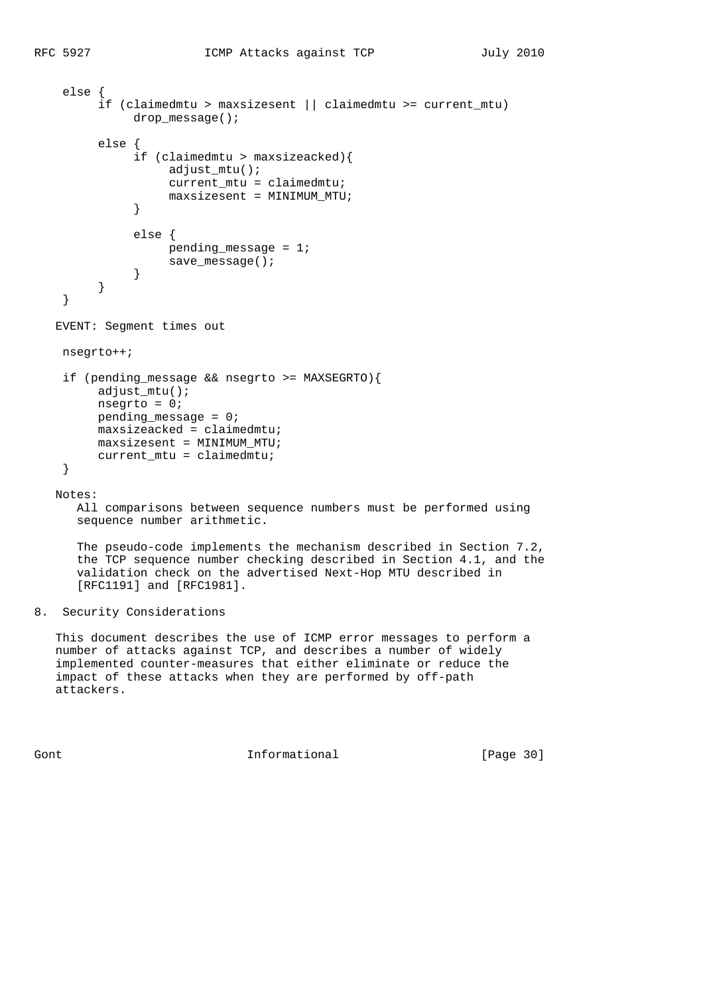```
 else {
        if (claimedmtu > maxsizesent || claimedmtu >= current_mtu)
            drop message();
        else {
              if (claimedmtu > maxsizeacked){
                  adjust_mtu();
                  current_mtu = claimedmtu;
                 maxsizesent = MINIMUM MTU;
}
              else {
                  pending_message = 1;
             save_message();
}
        }
   }
  EVENT: Segment times out
   nsegrto++;
   if (pending_message && nsegrto >= MAXSEGRTO){
       adjust mtu();
        nsegrto = 0;
        pending_message = 0;
        maxsizeacked = claimedmtu;
        maxsizesent = MINIMUM_MTU;
        current_mtu = claimedmtu;
   }
  Notes:
     All comparisons between sequence numbers must be performed using
     sequence number arithmetic.
     The pseudo-code implements the mechanism described in Section 7.2,
     the TCP sequence number checking described in Section 4.1, and the
     validation check on the advertised Next-Hop MTU described in
     [RFC1191] and [RFC1981].
```
## 8. Security Considerations

 This document describes the use of ICMP error messages to perform a number of attacks against TCP, and describes a number of widely implemented counter-measures that either eliminate or reduce the impact of these attacks when they are performed by off-path attackers.

Gont Gont 1nformational [Page 30]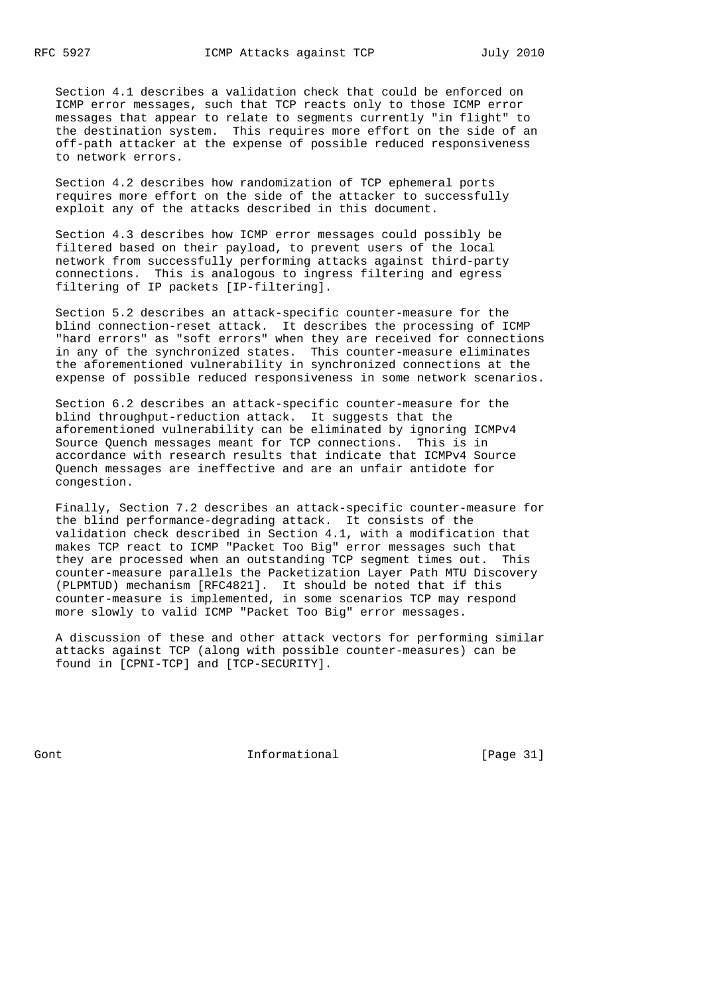Section 4.1 describes a validation check that could be enforced on ICMP error messages, such that TCP reacts only to those ICMP error messages that appear to relate to segments currently "in flight" to the destination system. This requires more effort on the side of an off-path attacker at the expense of possible reduced responsiveness to network errors.

 Section 4.2 describes how randomization of TCP ephemeral ports requires more effort on the side of the attacker to successfully exploit any of the attacks described in this document.

 Section 4.3 describes how ICMP error messages could possibly be filtered based on their payload, to prevent users of the local network from successfully performing attacks against third-party connections. This is analogous to ingress filtering and egress filtering of IP packets [IP-filtering].

 Section 5.2 describes an attack-specific counter-measure for the blind connection-reset attack. It describes the processing of ICMP "hard errors" as "soft errors" when they are received for connections in any of the synchronized states. This counter-measure eliminates the aforementioned vulnerability in synchronized connections at the expense of possible reduced responsiveness in some network scenarios.

 Section 6.2 describes an attack-specific counter-measure for the blind throughput-reduction attack. It suggests that the aforementioned vulnerability can be eliminated by ignoring ICMPv4 Source Quench messages meant for TCP connections. This is in accordance with research results that indicate that ICMPv4 Source Quench messages are ineffective and are an unfair antidote for congestion.

 Finally, Section 7.2 describes an attack-specific counter-measure for the blind performance-degrading attack. It consists of the validation check described in Section 4.1, with a modification that makes TCP react to ICMP "Packet Too Big" error messages such that they are processed when an outstanding TCP segment times out. This counter-measure parallels the Packetization Layer Path MTU Discovery (PLPMTUD) mechanism [RFC4821]. It should be noted that if this counter-measure is implemented, in some scenarios TCP may respond more slowly to valid ICMP "Packet Too Big" error messages.

 A discussion of these and other attack vectors for performing similar attacks against TCP (along with possible counter-measures) can be found in [CPNI-TCP] and [TCP-SECURITY].

Gont **Informational Informational** [Page 31]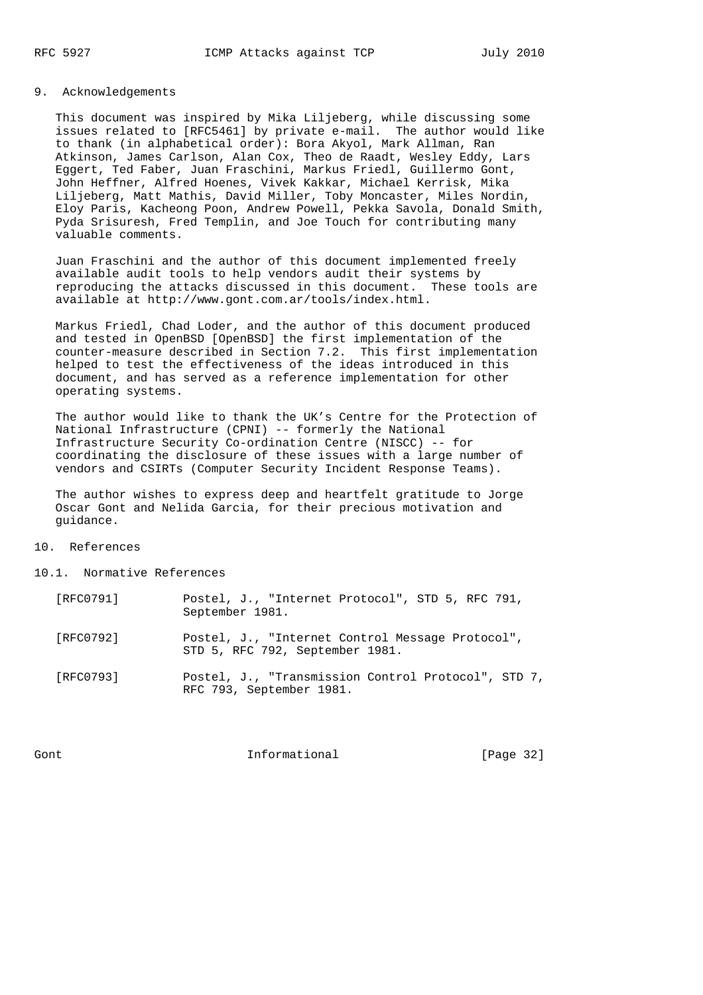## 9. Acknowledgements

 This document was inspired by Mika Liljeberg, while discussing some issues related to [RFC5461] by private e-mail. The author would like to thank (in alphabetical order): Bora Akyol, Mark Allman, Ran Atkinson, James Carlson, Alan Cox, Theo de Raadt, Wesley Eddy, Lars Eggert, Ted Faber, Juan Fraschini, Markus Friedl, Guillermo Gont, John Heffner, Alfred Hoenes, Vivek Kakkar, Michael Kerrisk, Mika Liljeberg, Matt Mathis, David Miller, Toby Moncaster, Miles Nordin, Eloy Paris, Kacheong Poon, Andrew Powell, Pekka Savola, Donald Smith, Pyda Srisuresh, Fred Templin, and Joe Touch for contributing many valuable comments.

 Juan Fraschini and the author of this document implemented freely available audit tools to help vendors audit their systems by reproducing the attacks discussed in this document. These tools are available at http://www.gont.com.ar/tools/index.html.

 Markus Friedl, Chad Loder, and the author of this document produced and tested in OpenBSD [OpenBSD] the first implementation of the counter-measure described in Section 7.2. This first implementation helped to test the effectiveness of the ideas introduced in this document, and has served as a reference implementation for other operating systems.

 The author would like to thank the UK's Centre for the Protection of National Infrastructure (CPNI) -- formerly the National Infrastructure Security Co-ordination Centre (NISCC) -- for coordinating the disclosure of these issues with a large number of vendors and CSIRTs (Computer Security Incident Response Teams).

 The author wishes to express deep and heartfelt gratitude to Jorge Oscar Gont and Nelida Garcia, for their precious motivation and guidance.

## 10. References

10.1. Normative References

| [RFC0791] | Postel, J., "Internet Protocol", STD 5, RFC 791,<br>September 1981.                 |
|-----------|-------------------------------------------------------------------------------------|
| [RFC0792] | Postel, J., "Internet Control Message Protocol",<br>STD 5, RFC 792, September 1981. |
| [RFC0793] | Postel, J., "Transmission Control Protocol", STD 7,<br>RFC 793, September 1981.     |

Gont **Informational Informational** [Page 32]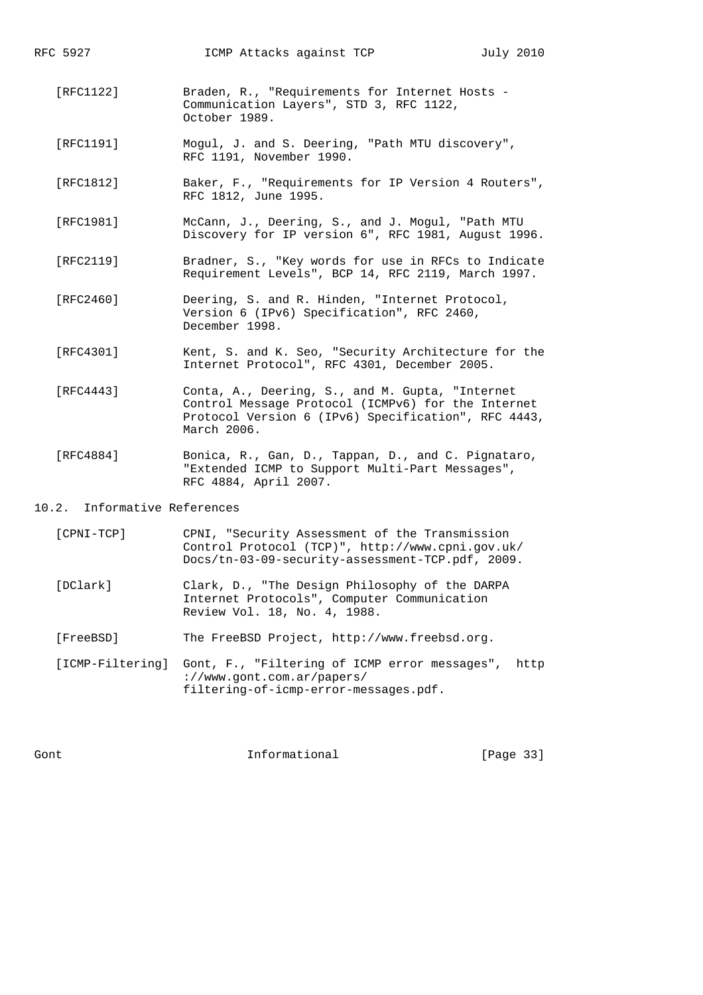RFC 5927 ICMP Attacks against TCP July 2010

- [RFC1122] Braden, R., "Requirements for Internet Hosts Communication Layers", STD 3, RFC 1122, October 1989.
- [RFC1191] Mogul, J. and S. Deering, "Path MTU discovery", RFC 1191, November 1990.
- [RFC1812] Baker, F., "Requirements for IP Version 4 Routers", RFC 1812, June 1995.
- [RFC1981] McCann, J., Deering, S., and J. Mogul, "Path MTU Discovery for IP version 6", RFC 1981, August 1996.
- [RFC2119] Bradner, S., "Key words for use in RFCs to Indicate Requirement Levels", BCP 14, RFC 2119, March 1997.
- [RFC2460] Deering, S. and R. Hinden, "Internet Protocol, Version 6 (IPv6) Specification", RFC 2460, December 1998.
- [RFC4301] Kent, S. and K. Seo, "Security Architecture for the Internet Protocol", RFC 4301, December 2005.
- [RFC4443] Conta, A., Deering, S., and M. Gupta, "Internet Control Message Protocol (ICMPv6) for the Internet Protocol Version 6 (IPv6) Specification", RFC 4443, March 2006.
- [RFC4884] Bonica, R., Gan, D., Tappan, D., and C. Pignataro, "Extended ICMP to Support Multi-Part Messages", RFC 4884, April 2007.

## 10.2. Informative References

- [CPNI-TCP] CPNI, "Security Assessment of the Transmission Control Protocol (TCP)", http://www.cpni.gov.uk/ Docs/tn-03-09-security-assessment-TCP.pdf, 2009.
- [DClark] Clark, D., "The Design Philosophy of the DARPA Internet Protocols", Computer Communication Review Vol. 18, No. 4, 1988.
- [FreeBSD] The FreeBSD Project, http://www.freebsd.org.

 [ICMP-Filtering] Gont, F., "Filtering of ICMP error messages", http ://www.gont.com.ar/papers/ filtering-of-icmp-error-messages.pdf.

Gont Gont Communism informational Communism [Page 33]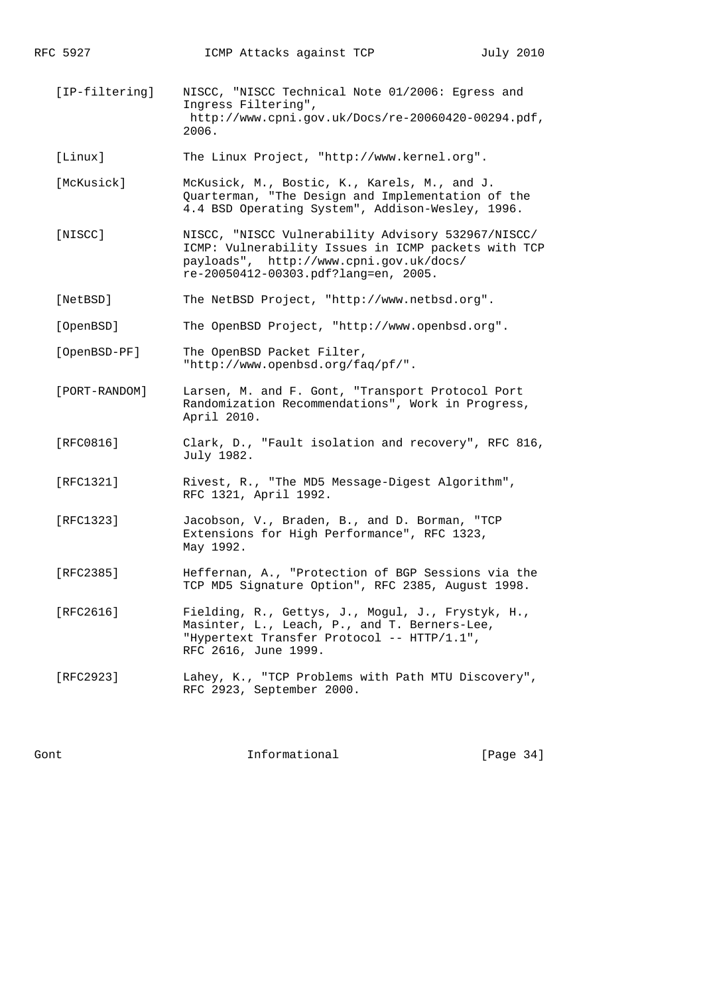[IP-filtering] NISCC, "NISCC Technical Note 01/2006: Egress and Ingress Filtering", http://www.cpni.gov.uk/Docs/re-20060420-00294.pdf, 2006.

[Linux] The Linux Project, "http://www.kernel.org".

- [McKusick] McKusick, M., Bostic, K., Karels, M., and J. Quarterman, "The Design and Implementation of the 4.4 BSD Operating System", Addison-Wesley, 1996.
- [NISCC] NISCC, "NISCC Vulnerability Advisory 532967/NISCC/ ICMP: Vulnerability Issues in ICMP packets with TCP payloads", http://www.cpni.gov.uk/docs/ re-20050412-00303.pdf?lang=en, 2005.
- [NetBSD] The NetBSD Project, "http://www.netbsd.org".

[OpenBSD] The OpenBSD Project, "http://www.openbsd.org".

- [OpenBSD-PF] The OpenBSD Packet Filter, "http://www.openbsd.org/faq/pf/".
- [PORT-RANDOM] Larsen, M. and F. Gont, "Transport Protocol Port Randomization Recommendations", Work in Progress, April 2010.
- [RFC0816] Clark, D., "Fault isolation and recovery", RFC 816, July 1982.
- [RFC1321] Rivest, R., "The MD5 Message-Digest Algorithm", RFC 1321, April 1992.
- [RFC1323] Jacobson, V., Braden, B., and D. Borman, "TCP Extensions for High Performance", RFC 1323, May 1992.
- [RFC2385] Heffernan, A., "Protection of BGP Sessions via the TCP MD5 Signature Option", RFC 2385, August 1998.
- [RFC2616] Fielding, R., Gettys, J., Mogul, J., Frystyk, H., Masinter, L., Leach, P., and T. Berners-Lee, "Hypertext Transfer Protocol -- HTTP/1.1", RFC 2616, June 1999.
- [RFC2923] Lahey, K., "TCP Problems with Path MTU Discovery", RFC 2923, September 2000.

Gont Gont Communism informational Gont [Page 34]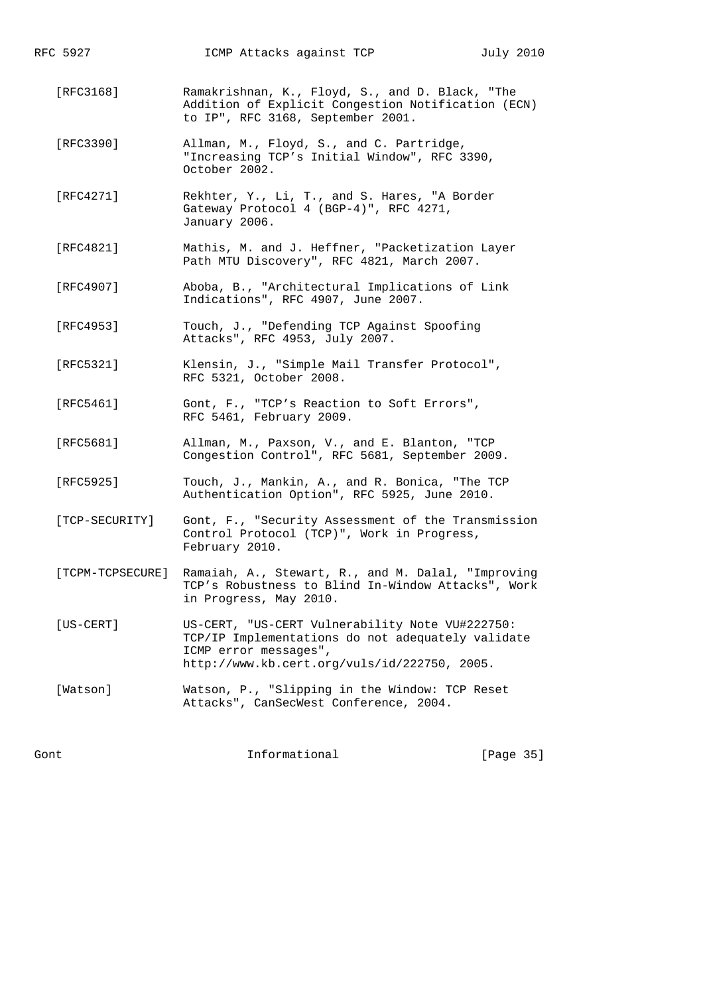| RFC 5927       | ICMP Attacks against TCP                                                                                                                                                      | July 2010 |  |
|----------------|-------------------------------------------------------------------------------------------------------------------------------------------------------------------------------|-----------|--|
| [RFC3168]      | Ramakrishnan, K., Floyd, S., and D. Black, "The<br>Addition of Explicit Congestion Notification (ECN)<br>to IP", RFC 3168, September 2001.                                    |           |  |
| [RFC3390]      | Allman, M., Floyd, S., and C. Partridge,<br>"Increasing TCP's Initial Window", RFC 3390,<br>October 2002.                                                                     |           |  |
| [RFC4271]      | Rekhter, Y., Li, T., and S. Hares, "A Border<br>Gateway Protocol 4 (BGP-4)", RFC 4271,<br>January 2006.                                                                       |           |  |
| [RFC4821]      | Mathis, M. and J. Heffner, "Packetization Layer<br>Path MTU Discovery", RFC 4821, March 2007.                                                                                 |           |  |
| [RFC4907]      | Aboba, B., "Architectural Implications of Link<br>Indications", RFC 4907, June 2007.                                                                                          |           |  |
| [RFC4953]      | Touch, J., "Defending TCP Against Spoofing<br>Attacks", RFC 4953, July 2007.                                                                                                  |           |  |
| [RFC5321]      | Klensin, J., "Simple Mail Transfer Protocol",<br>RFC 5321, October 2008.                                                                                                      |           |  |
| [RFC5461]      | Gont, F., "TCP's Reaction to Soft Errors",<br>RFC 5461, February 2009.                                                                                                        |           |  |
| [RFC5681]      | Allman, M., Paxson, V., and E. Blanton, "TCP<br>Congestion Control", RFC 5681, September 2009.                                                                                |           |  |
| [RFC5925]      | Touch, J., Mankin, A., and R. Bonica, "The TCP<br>Authentication Option", RFC 5925, June 2010.                                                                                |           |  |
| [TCP-SECURITY] | Gont, F., "Security Assessment of the Transmission<br>Control Protocol (TCP)", Work in Progress,<br>February 2010.                                                            |           |  |
|                | [TCPM-TCPSECURE] Ramaiah, A., Stewart, R., and M. Dalal, "Improving<br>TCP's Robustness to Blind In-Window Attacks", Work<br>in Progress, May 2010.                           |           |  |
| $[US-CERT]$    | US-CERT, "US-CERT Vulnerability Note VU#222750:<br>TCP/IP Implementations do not adequately validate<br>ICMP error messages",<br>http://www.kb.cert.org/vuls/id/222750, 2005. |           |  |
| [Watson]       | Watson, P., "Slipping in the Window: TCP Reset<br>Attacks", CanSecWest Conference, 2004.                                                                                      |           |  |

Gont Gont Communism Informational Contractional Executive Contractional Contractional Contractional Contractional Contractional Contractional Contractional Contractional Contractional Contractional Contractional Contractio